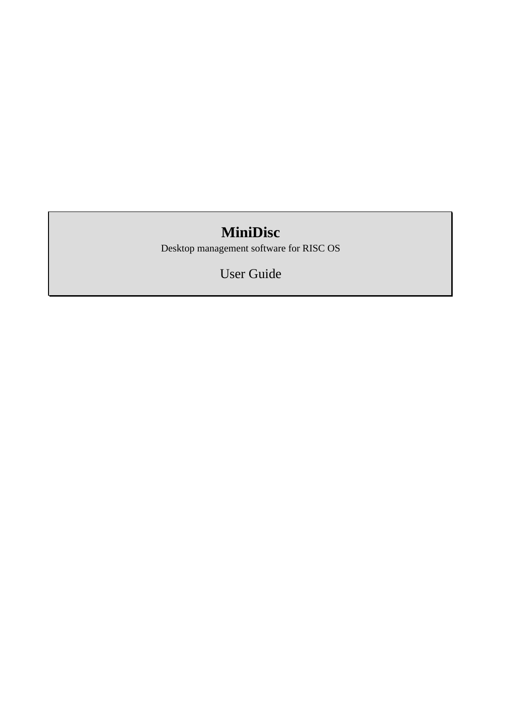# **MiniDisc**

Desktop management software for RISC OS

User Guide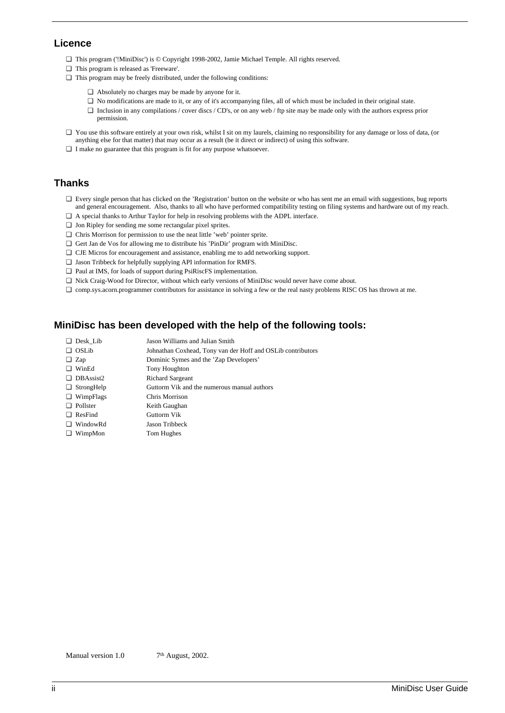## **Licence**

- ❏ This program ('!MiniDisc') is © Copyright 1998-2002, Jamie Michael Temple. All rights reserved.
- ❏ This program is released as 'Freeware'.
- ❏ This program may be freely distributed, under the following conditions:
	- ❏ Absolutely no charges may be made by anyone for it.
	- ❏ No modifications are made to it, or any of it's accompanying files, all of which must be included in their original state.
	- ❏ Inclusion in any compilations / cover discs / CD's, or on any web / ftp site may be made only with the authors express prior permission.
- ❏ You use this software entirely at your own risk, whilst I sit on my laurels, claiming no responsibility for any damage or loss of data, (or anything else for that matter) that may occur as a result (be it direct or indirect) of using this software.
- ❏ I make no guarantee that this program is fit for any purpose whatsoever.

## **Thanks**

- ❏ Every single person that has clicked on the 'Registration' button on the website or who has sent me an email with suggestions, bug reports and general encouragement. Also, thanks to all who have performed compatibility testing on filing systems and hardware out of my reach.
- ❏ A special thanks to Arthur Taylor for help in resolving problems with the ADPL interface.
- ❏ Jon Ripley for sending me some rectangular pixel sprites.
- ❏ Chris Morrison for permission to use the neat little 'web' pointer sprite.
- ❏ Gert Jan de Vos for allowing me to distribute his 'PinDir' program with MiniDisc.
- ❏ CJE Micros for encouragement and assistance, enabling me to add networking support.
- ❏ Jason Tribbeck for helpfully supplying API information for RMFS.
- ❏ Paul at IMS, for loads of support during PsiRiscFS implementation.
- ❏ Nick Craig-Wood for Director, without which early versions of MiniDisc would never have come about.
- ❏ comp.sys.acorn.programmer contributors for assistance in solving a few or the real nasty problems RISC OS has thrown at me.

## **MiniDisc has been developed with the help of the following tools:**

| $\Box$ Desk Lib   | Jason Williams and Julian Smith                             |
|-------------------|-------------------------------------------------------------|
| $\Box$ OSLib      | Johnathan Coxhead, Tony van der Hoff and OSLib contributors |
| $\Box$ Zap        | Dominic Symes and the 'Zap Developers'                      |
| $\Box$ WinEd      | <b>Tony Houghton</b>                                        |
| $\Box$ DBAssist2  | <b>Richard Sargeant</b>                                     |
| $\Box$ StrongHelp | Guttorm Vik and the numerous manual authors                 |
| $\Box$ WimpFlags  | Chris Morrison                                              |
| $\Box$ Pollster   | Keith Gaughan                                               |
| $\Box$ ResFind    | Guttorm Vik                                                 |
| $\Box$ WindowRd   | <b>Jason Tribbeck</b>                                       |
| $\Box$ WimpMon    | Tom Hughes                                                  |
|                   |                                                             |

Manual version  $1.0$   $7<sup>th</sup>$  August, 2002.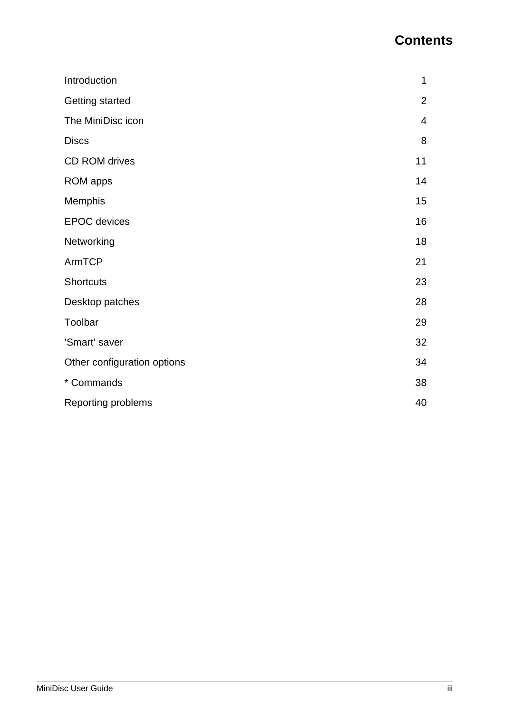## **Contents**

| Introduction                | 1  |
|-----------------------------|----|
| Getting started             | 2  |
| The MiniDisc icon           | 4  |
| <b>Discs</b>                | 8  |
| CD ROM drives               | 11 |
| ROM apps                    | 14 |
| Memphis                     | 15 |
| <b>EPOC</b> devices         | 16 |
| Networking                  | 18 |
| ArmTCP                      | 21 |
| <b>Shortcuts</b>            | 23 |
| Desktop patches             | 28 |
| Toolbar                     | 29 |
| 'Smart' saver               | 32 |
| Other configuration options | 34 |
| * Commands                  | 38 |
| Reporting problems          | 40 |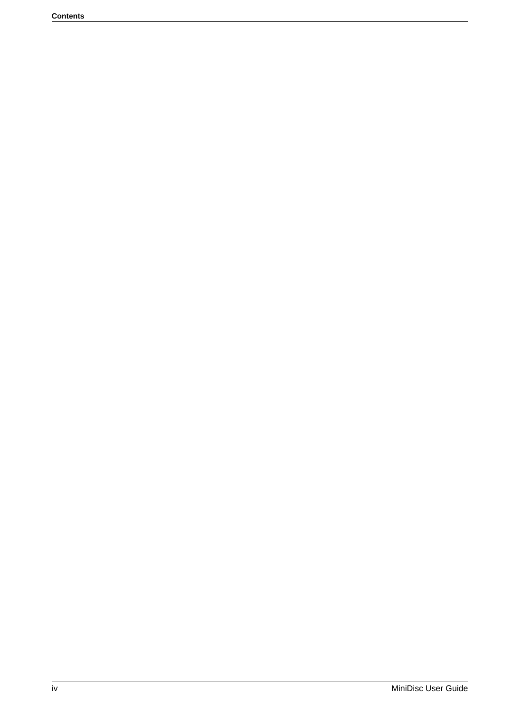**Contents**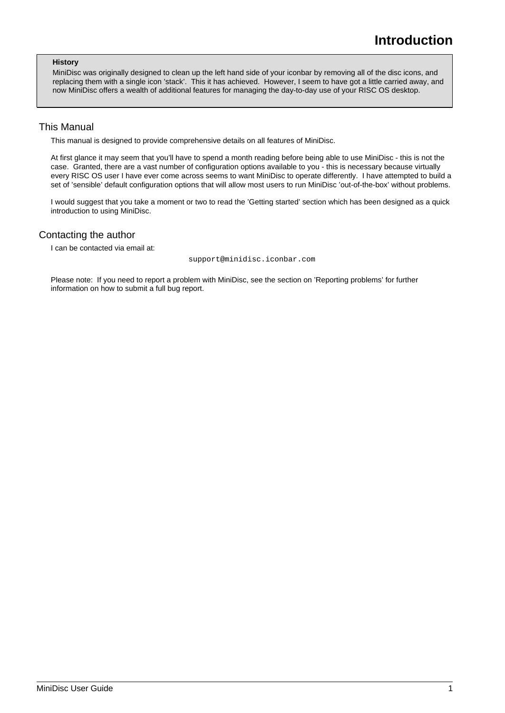## **History**

MiniDisc was originally designed to clean up the left hand side of your iconbar by removing all of the disc icons, and replacing them with a single icon 'stack'. This it has achieved. However, I seem to have got a little carried away, and now MiniDisc offers a wealth of additional features for managing the day-to-day use of your RISC OS desktop.

## This Manual

This manual is designed to provide comprehensive details on all features of MiniDisc.

At first glance it may seem that you'll have to spend a month reading before being able to use MiniDisc - this is not the case. Granted, there are a vast number of configuration options available to you - this is necessary because virtually every RISC OS user I have ever come across seems to want MiniDisc to operate differently. I have attempted to build a set of 'sensible' default configuration options that will allow most users to run MiniDisc 'out-of-the-box' without problems.

I would suggest that you take a moment or two to read the 'Getting started' section which has been designed as a quick introduction to using MiniDisc.

## Contacting the author

I can be contacted via email at:

support@minidisc.iconbar.com

Please note: If you need to report a problem with MiniDisc, see the section on 'Reporting problems' for further information on how to submit a full bug report.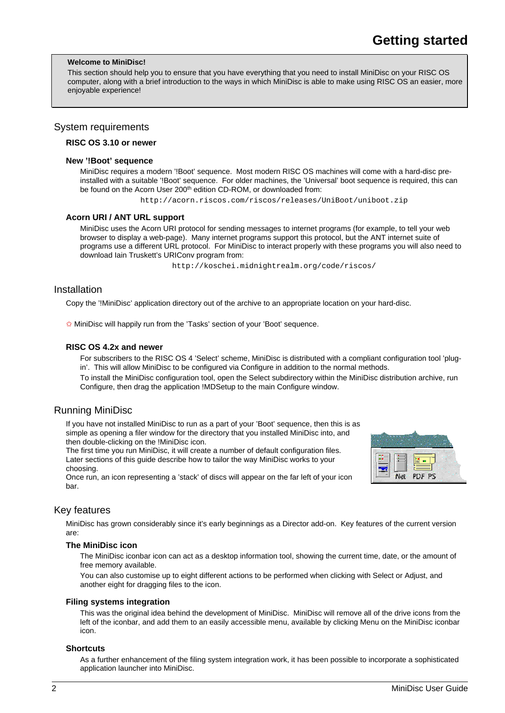## **Getting started**

#### **Welcome to MiniDisc!**

This section should help you to ensure that you have everything that you need to install MiniDisc on your RISC OS computer, along with a brief introduction to the ways in which MiniDisc is able to make using RISC OS an easier, more enjoyable experience!

## System requirements

### **RISC OS 3.10 or newer**

#### **New '!Boot' sequence**

MiniDisc requires a modern '!Boot' sequence. Most modern RISC OS machines will come with a hard-disc preinstalled with a suitable '!Boot' sequence. For older machines, the 'Universal' boot sequence is required, this can be found on the Acorn User 200<sup>th</sup> edition CD-ROM, or downloaded from:

http://acorn.riscos.com/riscos/releases/UniBoot/uniboot.zip

#### **Acorn URI / ANT URL support**

MiniDisc uses the Acorn URI protocol for sending messages to internet programs (for example, to tell your web browser to display a web-page). Many internet programs support this protocol, but the ANT internet suite of programs use a different URL protocol. For MiniDisc to interact properly with these programs you will also need to download Iain Truskett's URIConv program from:

http://koschei.midnightrealm.org/code/riscos/

### Installation

Copy the '!MiniDisc' application directory out of the archive to an appropriate location on your hard-disc.

✩ MiniDisc will happily run from the 'Tasks' section of your 'Boot' sequence.

#### **RISC OS 4.2x and newer**

For subscribers to the RISC OS 4 'Select' scheme, MiniDisc is distributed with a compliant configuration tool 'plugin'. This will allow MiniDisc to be configured via Configure in addition to the normal methods.

To install the MiniDisc configuration tool, open the Select subdirectory within the MiniDisc distribution archive, run Configure, then drag the application !MDSetup to the main Configure window.

## Running MiniDisc

If you have not installed MiniDisc to run as a part of your 'Boot' sequence, then this is as simple as opening a filer window for the directory that you installed MiniDisc into, and then double-clicking on the !MiniDisc icon.

The first time you run MiniDisc, it will create a number of default configuration files. Later sections of this guide describe how to tailor the way MiniDisc works to your choosing.

Once run, an icon representing a 'stack' of discs will appear on the far left of your icon bar.



## Key features

MiniDisc has grown considerably since it's early beginnings as a Director add-on. Key features of the current version are:

#### **The MiniDisc icon**

The MiniDisc iconbar icon can act as a desktop information tool, showing the current time, date, or the amount of free memory available.

You can also customise up to eight different actions to be performed when clicking with Select or Adjust, and another eight for dragging files to the icon.

#### **Filing systems integration**

This was the original idea behind the development of MiniDisc. MiniDisc will remove all of the drive icons from the left of the iconbar, and add them to an easily accessible menu, available by clicking Menu on the MiniDisc iconbar icon.

#### **Shortcuts**

As a further enhancement of the filing system integration work, it has been possible to incorporate a sophisticated application launcher into MiniDisc.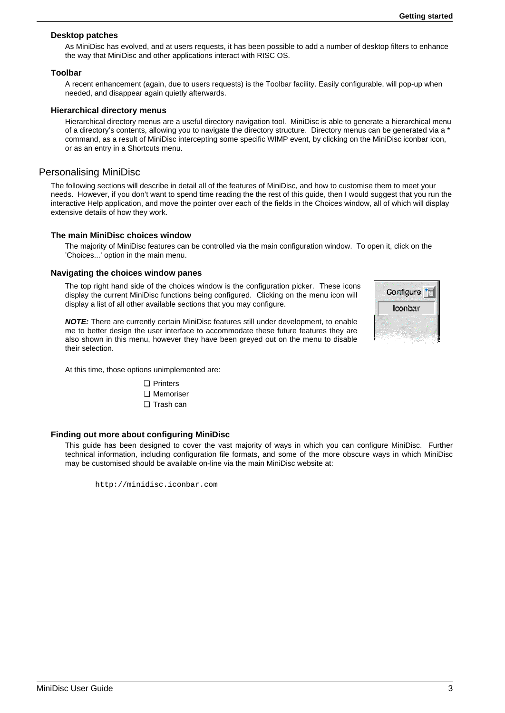#### **Desktop patches**

As MiniDisc has evolved, and at users requests, it has been possible to add a number of desktop filters to enhance the way that MiniDisc and other applications interact with RISC OS.

#### **Toolbar**

A recent enhancement (again, due to users requests) is the Toolbar facility. Easily configurable, will pop-up when needed, and disappear again quietly afterwards.

#### **Hierarchical directory menus**

Hierarchical directory menus are a useful directory navigation tool. MiniDisc is able to generate a hierarchical menu of a directory's contents, allowing you to navigate the directory structure. Directory menus can be generated via a \* command, as a result of MiniDisc intercepting some specific WIMP event, by clicking on the MiniDisc iconbar icon, or as an entry in a Shortcuts menu.

### Personalising MiniDisc

The following sections will describe in detail all of the features of MiniDisc, and how to customise them to meet your needs. However, if you don't want to spend time reading the the rest of this guide, then I would suggest that you run the interactive Help application, and move the pointer over each of the fields in the Choices window, all of which will display extensive details of how they work.

#### **The main MiniDisc choices window**

The majority of MiniDisc features can be controlled via the main configuration window. To open it, click on the 'Choices...' option in the main menu.

#### **Navigating the choices window panes**

The top right hand side of the choices window is the configuration picker. These icons display the current MiniDisc functions being configured. Clicking on the menu icon will display a list of all other available sections that you may configure.



**NOTE:** There are currently certain MiniDisc features still under development, to enable me to better design the user interface to accommodate these future features they are also shown in this menu, however they have been greyed out on the menu to disable their selection.

At this time, those options unimplemented are:

- ❏ Printers
- ❏ Memoriser
- ❏ Trash can

#### **Finding out more about configuring MiniDisc**

This guide has been designed to cover the vast majority of ways in which you can configure MiniDisc. Further technical information, including configuration file formats, and some of the more obscure ways in which MiniDisc may be customised should be available on-line via the main MiniDisc website at:

http://minidisc.iconbar.com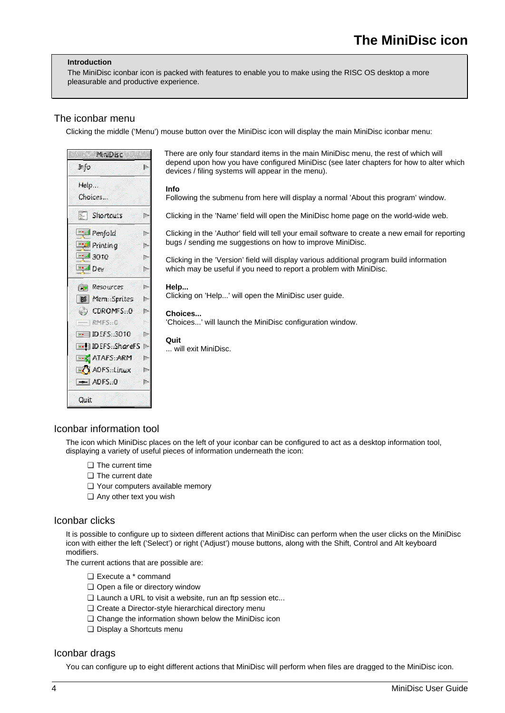## **Introduction**

The MiniDisc iconbar icon is packed with features to enable you to make using the RISC OS desktop a more pleasurable and productive experience.

#### The iconbar menu

Clicking the middle ('Menu') mouse button over the MiniDisc icon will display the main MiniDisc iconbar menu:

| MiniDisc                           |      |
|------------------------------------|------|
| D:fo                               | Þ    |
| Help                               |      |
| Choices.                           |      |
| Shortcuts                          | Po.  |
| <b>Penfold</b>                     | Pis. |
| Printing                           | h.   |
| <b>EEEEE</b> 3010                  | h.   |
| <b>Dev</b>                         | h»   |
| <b>Resources</b>                   | h-   |
| Mem.: Sprites                      | h.   |
| CDROMFSO                           | h.   |
| $-$ RMFS::0                        |      |
| $F = 10$ EFS $-3010$               | Po.  |
| <b>Example ID EFS: ShareFS In-</b> |      |
| <b>MATAFS: ARM</b>                 | ite. |
| $-$ ADFS::Linux                    | h.   |
| $\equiv$ ADFS::0                   | The  |
| <b>Chair</b>                       |      |

 There are only four standard items in the main MiniDisc menu, the rest of which will depend upon how you have configured MiniDisc (see later chapters for how to alter which devices / filing systems will appear in the menu).

**Info**

Following the submenu from here will display a normal 'About this program' window.

Clicking in the 'Name' field will open the MiniDisc home page on the world-wide web.

Clicking in the 'Author' field will tell your email software to create a new email for reporting bugs / sending me suggestions on how to improve MiniDisc.

Clicking in the 'Version' field will display various additional program build information which may be useful if you need to report a problem with MiniDisc.

**Help...** Clicking on 'Help...' will open the MiniDisc user guide.

#### **Choices...**

'Choices...' will launch the MiniDisc configuration window.

#### **Quit**

... will exit MiniDisc.

## Iconbar information tool

The icon which MiniDisc places on the left of your iconbar can be configured to act as a desktop information tool, displaying a variety of useful pieces of information underneath the icon:

- ❏ The current time
- ❏ The current date
- ❏ Your computers available memory
- ❏ Any other text you wish

#### Iconbar clicks

It is possible to configure up to sixteen different actions that MiniDisc can perform when the user clicks on the MiniDisc icon with either the left ('Select') or right ('Adjust') mouse buttons, along with the Shift, Control and Alt keyboard modifiers.

The current actions that are possible are:

- ❏ Execute a \* command
- ❏ Open a file or directory window
- ❏ Launch a URL to visit a website, run an ftp session etc...
- ❏ Create a Director-style hierarchical directory menu
- ❏ Change the information shown below the MiniDisc icon
- ❏ Display a Shortcuts menu

#### Iconbar drags

You can configure up to eight different actions that MiniDisc will perform when files are dragged to the MiniDisc icon.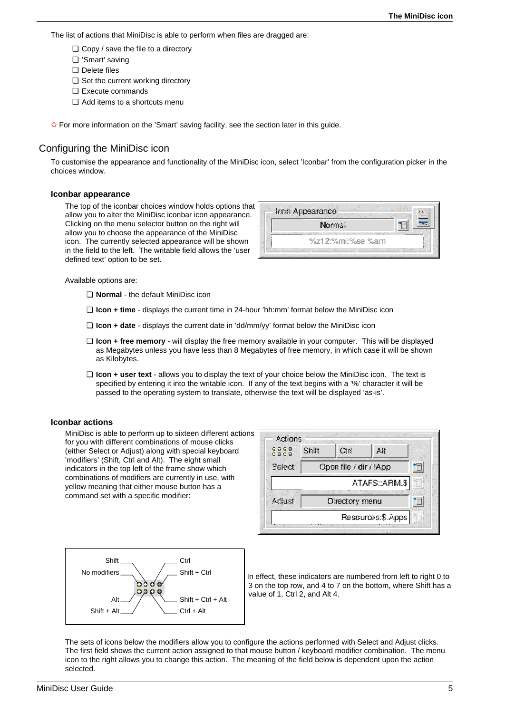The list of actions that MiniDisc is able to perform when files are dragged are:

- ❏ Copy / save the file to a directory
- ❏ 'Smart' saving
- ❏ Delete files
- ❏ Set the current working directory
- ❏ Execute commands
- ❏ Add items to a shortcuts menu

 $\hat{\mathbf{x}}$  For more information on the 'Smart' saving facility, see the section later in this guide.

## Configuring the MiniDisc icon

To customise the appearance and functionality of the MiniDisc icon, select 'Iconbar' from the configuration picker in the choices window.

#### **Iconbar appearance**

The top of the iconbar choices window holds options that allow you to alter the MiniDisc iconbar icon appearance. Clicking on the menu selector button on the right will allow you to choose the appearance of the MiniDisc icon. The currently selected appearance will be shown in the field to the left. The writable field allows the 'user defined text' option to be set.

| Normal           |  |
|------------------|--|
| %z12:%mi:%se %am |  |

Available options are:

- ❏ **Normal** the default MiniDisc icon
- ❏ **Icon + time** displays the current time in 24-hour 'hh:mm' format below the MiniDisc icon
- ❏ **Icon + date** displays the current date in 'dd/mm/yy' format below the MiniDisc icon
- ❏ **Icon + free memory** will display the free memory available in your computer. This will be displayed as Megabytes unless you have less than 8 Megabytes of free memory, in which case it will be shown as Kilobytes.
- ❏ **Icon + user text** allows you to display the text of your choice below the MiniDisc icon. The text is specified by entering it into the writable icon. If any of the text begins with a '%' character it will be passed to the operating system to translate, otherwise the text will be displayed 'as-is'.

#### **Iconbar actions**

MiniDisc is able to perform up to sixteen different actions for you with different combinations of mouse clicks (either Select or Adjust) along with special keyboard 'modifiers' (Shift, Ctrl and Alt). The eight small indicators in the top left of the frame show which combinations of modifiers are currently in use, with yellow meaning that either mouse button has a command set with a specific modifier:





 In effect, these indicators are numbered from left to right 0 to 3 on the top row, and 4 to 7 on the bottom, where Shift has a value of 1, Ctrl 2, and Alt 4.

The sets of icons below the modifiers allow you to configure the actions performed with Select and Adjust clicks. The first field shows the current action assigned to that mouse button / keyboard modifier combination. The menu icon to the right allows you to change this action. The meaning of the field below is dependent upon the action selected.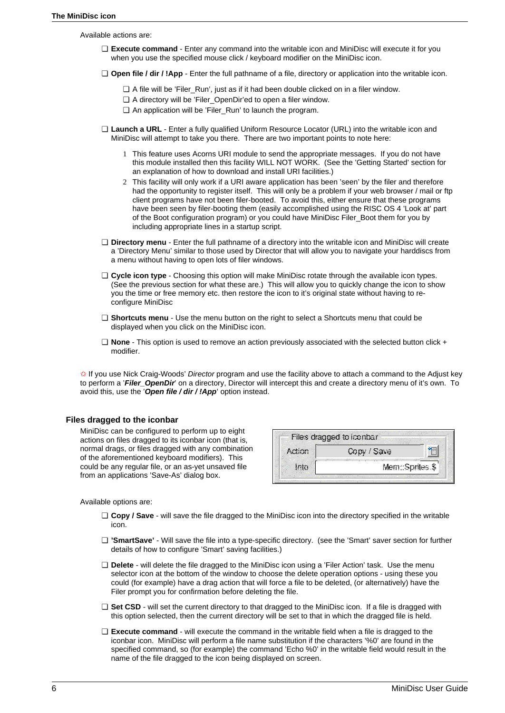Available actions are:

- ❏ **Execute command** Enter any command into the writable icon and MiniDisc will execute it for you when you use the specified mouse click / keyboard modifier on the MiniDisc icon.
- ❏ **Open file / dir / !App** Enter the full pathname of a file, directory or application into the writable icon.
	- ❏ A file will be 'Filer\_Run', just as if it had been double clicked on in a filer window.
	- ❏ A directory will be 'Filer\_OpenDir'ed to open a filer window.
	- ❏ An application will be 'Filer\_Run' to launch the program.
- ❏ **Launch a URL** Enter a fully qualified Uniform Resource Locator (URL) into the writable icon and MiniDisc will attempt to take you there. There are two important points to note here:
	- 1 This feature uses Acorns URI module to send the appropriate messages. If you do not have this module installed then this facility WILL NOT WORK. (See the 'Getting Started' section for an explanation of how to download and install URI facilities.)
	- 2 This facility will only work if a URI aware application has been 'seen' by the filer and therefore had the opportunity to register itself. This will only be a problem if your web browser / mail or ftp client programs have not been filer-booted. To avoid this, either ensure that these programs have been seen by filer-booting them (easily accomplished using the RISC OS 4 'Look at' part of the Boot configuration program) or you could have MiniDisc Filer\_Boot them for you by including appropriate lines in a startup script.
- ❏ **Directory menu** Enter the full pathname of a directory into the writable icon and MiniDisc will create a 'Directory Menu' similar to those used by Director that will allow you to navigate your harddiscs from a menu without having to open lots of filer windows.
- ❏ **Cycle icon type** Choosing this option will make MiniDisc rotate through the available icon types. (See the previous section for what these are.) This will allow you to quickly change the icon to show you the time or free memory etc. then restore the icon to it's original state without having to reconfigure MiniDisc
- ❏ **Shortcuts menu** Use the menu button on the right to select a Shortcuts menu that could be displayed when you click on the MiniDisc icon.
- ❏ **None** This option is used to remove an action previously associated with the selected button click + modifier.

✩ If you use Nick Craig-Woods' Director program and use the facility above to attach a command to the Adjust key to perform a '*Filer* OpenDir' on a directory, Director will intercept this and create a directory menu of it's own. To avoid this, use the '**Open file / dir / !App**' option instead.

#### **Files dragged to the iconbar**

MiniDisc can be configured to perform up to eight actions on files dragged to its iconbar icon (that is, normal drags, or files dragged with any combination of the aforementioned keyboard modifiers). This could be any regular file, or an as-yet unsaved file from an applications 'Save-As' dialog box.

| Action | Copy / Save |  |
|--------|-------------|--|

Available options are:

- ❏ **Copy / Save** will save the file dragged to the MiniDisc icon into the directory specified in the writable icon.
- ❏ **'SmartSave'** Will save the file into a type-specific directory. (see the 'Smart' saver section for further details of how to configure 'Smart' saving facilities.)
- ❏ **Delete** will delete the file dragged to the MiniDisc icon using a 'Filer Action' task. Use the menu selector icon at the bottom of the window to choose the delete operation options - using these you could (for example) have a drag action that will force a file to be deleted, (or alternatively) have the Filer prompt you for confirmation before deleting the file.
- ❏ **Set CSD** will set the current directory to that dragged to the MiniDisc icon. If a file is dragged with this option selected, then the current directory will be set to that in which the dragged file is held.
- ❏ **Execute command** will execute the command in the writable field when a file is dragged to the iconbar icon. MiniDisc will perform a file name substitution if the characters '%0' are found in the specified command, so (for example) the command 'Echo %0' in the writable field would result in the name of the file dragged to the icon being displayed on screen.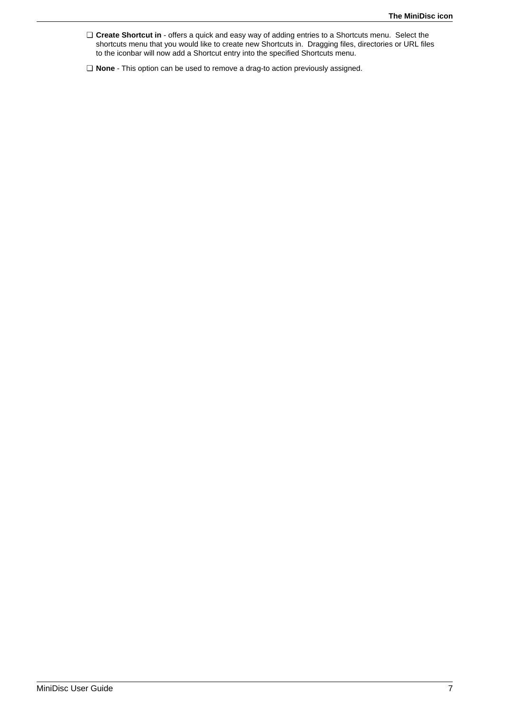- ❏ **Create Shortcut in** offers a quick and easy way of adding entries to a Shortcuts menu. Select the shortcuts menu that you would like to create new Shortcuts in. Dragging files, directories or URL files to the iconbar will now add a Shortcut entry into the specified Shortcuts menu.
- ❏ **None** This option can be used to remove a drag-to action previously assigned.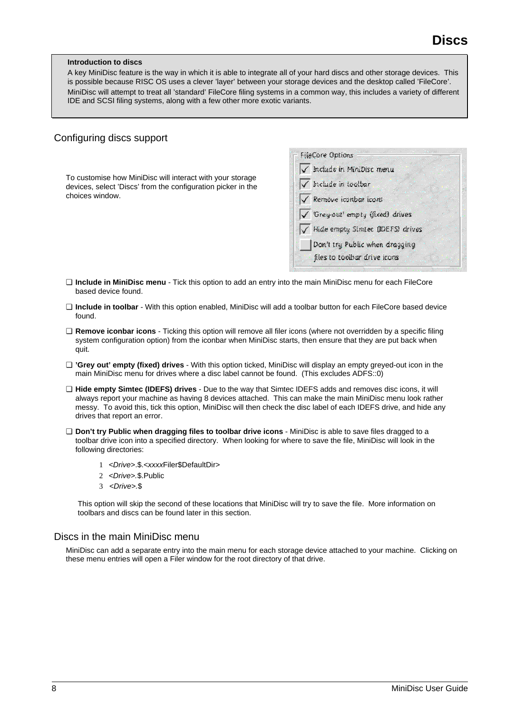## **Discs**

#### **Introduction to discs**

A key MiniDisc feature is the way in which it is able to integrate all of your hard discs and other storage devices. This is possible because RISC OS uses a clever 'layer' between your storage devices and the desktop called 'FileCore'. MiniDisc will attempt to treat all 'standard' FileCore filing systems in a common way, this includes a variety of different IDE and SCSI filing systems, along with a few other more exotic variants.

## Configuring discs support

To customise how MiniDisc will interact with your storage devices, select 'Discs' from the configuration picker in the choices window.

| FileCore Options                 |
|----------------------------------|
| I Include in MiniDisc menu       |
| $\sqrt{\ }$ Include in toolbar   |
| $\sqrt{\ }$ Remove iconbar icons |
| Grey-out' empty (fixed) drives   |
| Hide empty Simtec (IDEFS) drives |
| Don't try Public when dragging   |
| files to toolbar drive icons     |

- ❏ **Include in MiniDisc menu** Tick this option to add an entry into the main MiniDisc menu for each FileCore based device found.
- ❏ **Include in toolbar** With this option enabled, MiniDisc will add a toolbar button for each FileCore based device found.
- ❏ **Remove iconbar icons** Ticking this option will remove all filer icons (where not overridden by a specific filing system configuration option) from the iconbar when MiniDisc starts, then ensure that they are put back when quit.
- ❏ **'Grey out' empty (fixed) drives** With this option ticked, MiniDisc will display an empty greyed-out icon in the main MiniDisc menu for drives where a disc label cannot be found. (This excludes ADFS::0)
- ❏ **Hide empty Simtec (IDEFS) drives** Due to the way that Simtec IDEFS adds and removes disc icons, it will always report your machine as having 8 devices attached. This can make the main MiniDisc menu look rather messy. To avoid this, tick this option, MiniDisc will then check the disc label of each IDEFS drive, and hide any drives that report an error.
- ❏ **Don't try Public when dragging files to toolbar drive icons** MiniDisc is able to save files dragged to a toolbar drive icon into a specified directory. When looking for where to save the file, MiniDisc will look in the following directories:
	- 1 <Drive>.\$.<xxxxFiler\$DefaultDir>
	- 2 <Drive>.\$.Public
	- 3  $\le$ Drives  $$$

This option will skip the second of these locations that MiniDisc will try to save the file. More information on toolbars and discs can be found later in this section.

## Discs in the main MiniDisc menu

MiniDisc can add a separate entry into the main menu for each storage device attached to your machine. Clicking on these menu entries will open a Filer window for the root directory of that drive.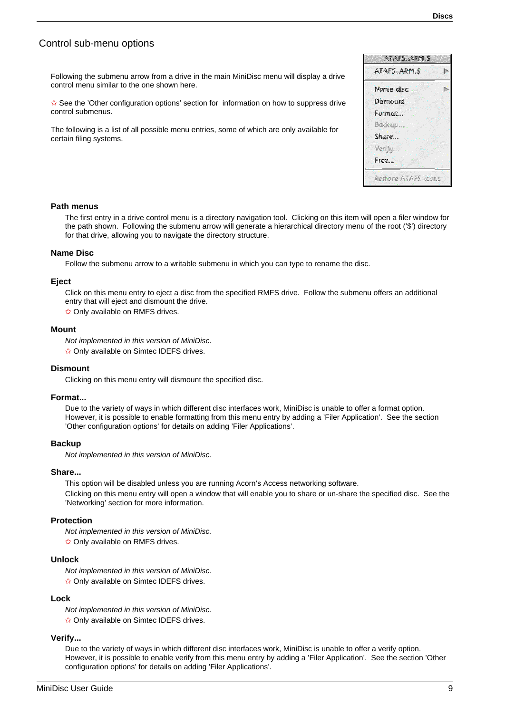## Control sub-menu options

Following the submenu arrow from a drive in the main MiniDisc menu will display a drive control menu similar to the one shown here.

✩ See the 'Other configuration options' section for information on how to suppress drive control submenus.

The following is a list of all possible menu entries, some of which are only available for certain filing systems.

| ATAFS::ARM.S | h. |
|--------------|----|
| Name disc    |    |
| Dismount     |    |
| Format       |    |
| Backup       |    |
| Share        |    |
| Verify       |    |
| Free.        |    |

#### **Path menus**

The first entry in a drive control menu is a directory navigation tool. Clicking on this item will open a filer window for the path shown. Following the submenu arrow will generate a hierarchical directory menu of the root ('\$') directory for that drive, allowing you to navigate the directory structure.

#### **Name Disc**

Follow the submenu arrow to a writable submenu in which you can type to rename the disc.

#### **Eject**

Click on this menu entry to eject a disc from the specified RMFS drive. Follow the submenu offers an additional entry that will eject and dismount the drive.

✩ Only available on RMFS drives.

#### **Mount**

Not implemented in this version of MiniDisc.

✩ Only available on Simtec IDEFS drives.

#### **Dismount**

Clicking on this menu entry will dismount the specified disc.

#### **Format...**

Due to the variety of ways in which different disc interfaces work, MiniDisc is unable to offer a format option. However, it is possible to enable formatting from this menu entry by adding a 'Filer Application'. See the section 'Other configuration options' for details on adding 'Filer Applications'.

#### **Backup**

Not implemented in this version of MiniDisc.

#### **Share...**

This option will be disabled unless you are running Acorn's Access networking software.

Clicking on this menu entry will open a window that will enable you to share or un-share the specified disc. See the 'Networking' section for more information.

### **Protection**

Not implemented in this version of MiniDisc.

✩ Only available on RMFS drives.

#### **Unlock**

Not implemented in this version of MiniDisc.

✩ Only available on Simtec IDEFS drives.

#### **Lock**

Not implemented in this version of MiniDisc.

✩ Only available on Simtec IDEFS drives.

#### **Verify...**

Due to the variety of ways in which different disc interfaces work, MiniDisc is unable to offer a verify option. However, it is possible to enable verify from this menu entry by adding a 'Filer Application'. See the section 'Other configuration options' for details on adding 'Filer Applications'.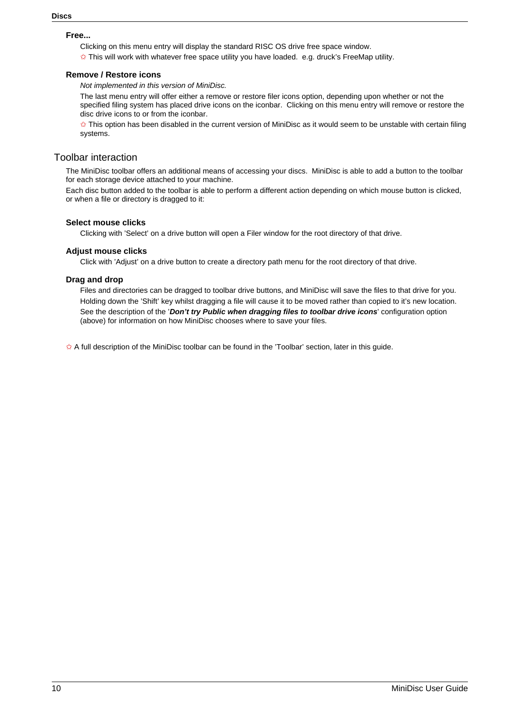## **Free...**

- Clicking on this menu entry will display the standard RISC OS drive free space window.
- ✩ This will work with whatever free space utility you have loaded. e.g. druck's FreeMap utility.

## **Remove / Restore icons**

Not implemented in this version of MiniDisc.

The last menu entry will offer either a remove or restore filer icons option, depending upon whether or not the specified filing system has placed drive icons on the iconbar. Clicking on this menu entry will remove or restore the disc drive icons to or from the iconbar.

 $\star$  This option has been disabled in the current version of MiniDisc as it would seem to be unstable with certain filing systems.

## Toolbar interaction

The MiniDisc toolbar offers an additional means of accessing your discs. MiniDisc is able to add a button to the toolbar for each storage device attached to your machine.

Each disc button added to the toolbar is able to perform a different action depending on which mouse button is clicked, or when a file or directory is dragged to it:

## **Select mouse clicks**

Clicking with 'Select' on a drive button will open a Filer window for the root directory of that drive.

## **Adjust mouse clicks**

Click with 'Adjust' on a drive button to create a directory path menu for the root directory of that drive.

## **Drag and drop**

Files and directories can be dragged to toolbar drive buttons, and MiniDisc will save the files to that drive for you. Holding down the 'Shift' key whilst dragging a file will cause it to be moved rather than copied to it's new location. See the description of the '**Don't try Public when dragging files to toolbar drive icons**' configuration option (above) for information on how MiniDisc chooses where to save your files.

 $\hat{\varphi}$  A full description of the MiniDisc toolbar can be found in the 'Toolbar' section, later in this guide.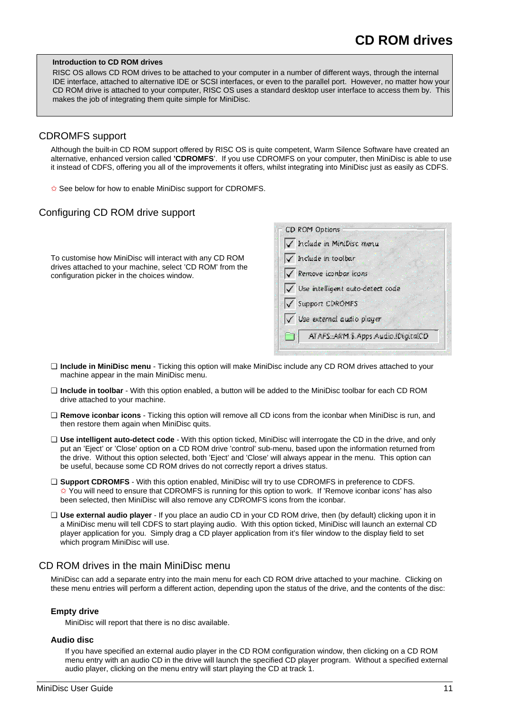#### **Introduction to CD ROM drives**

RISC OS allows CD ROM drives to be attached to your computer in a number of different ways, through the internal IDE interface, attached to alternative IDE or SCSI interfaces, or even to the parallel port. However, no matter how your CD ROM drive is attached to your computer, RISC OS uses a standard desktop user interface to access them by. This makes the job of integrating them quite simple for MiniDisc.

## CDROMFS support

Although the built-in CD ROM support offered by RISC OS is quite competent, Warm Silence Software have created an alternative, enhanced version called **'CDROMFS**'. If you use CDROMFS on your computer, then MiniDisc is able to use it instead of CDFS, offering you all of the improvements it offers, whilst integrating into MiniDisc just as easily as CDFS.

✩ See below for how to enable MiniDisc support for CDROMFS.

## Configuring CD ROM drive support

To customise how MiniDisc will interact with any CD ROM drives attached to your machine, select 'CD ROM' from the configuration picker in the choices window.

| CD ROM Options<br>V Include in MiniDisc menu |
|----------------------------------------------|
| $\sqrt{\ }$ Include in toolbar               |
| $\sqrt{\ }$ Remove iconbar icons             |
| √ Use intelligent auto-detect code           |
| V Support CDROMFS                            |
| V Use external audio player                  |
| ATAFS::ARM.\$.Apps Audio.IDigitalCD          |

- ❏ **Include in MiniDisc menu** Ticking this option will make MiniDisc include any CD ROM drives attached to your machine appear in the main MiniDisc menu.
- ❏ **Include in toolbar** With this option enabled, a button will be added to the MiniDisc toolbar for each CD ROM drive attached to your machine.
- ❏ **Remove iconbar icons** Ticking this option will remove all CD icons from the iconbar when MiniDisc is run, and then restore them again when MiniDisc quits.
- ❏ **Use intelligent auto-detect code** With this option ticked, MiniDisc will interrogate the CD in the drive, and only put an 'Eject' or 'Close' option on a CD ROM drive 'control' sub-menu, based upon the information returned from the drive. Without this option selected, both 'Eject' and 'Close' will always appear in the menu. This option can be useful, because some CD ROM drives do not correctly report a drives status.
- ❏ **Support CDROMFS** With this option enabled, MiniDisc will try to use CDROMFS in preference to CDFS. ✩ You will need to ensure that CDROMFS is running for this option to work. If 'Remove iconbar icons' has also been selected, then MiniDisc will also remove any CDROMFS icons from the iconbar.
- ❏ **Use external audio player** If you place an audio CD in your CD ROM drive, then (by default) clicking upon it in a MiniDisc menu will tell CDFS to start playing audio. With this option ticked, MiniDisc will launch an external CD player application for you. Simply drag a CD player application from it's filer window to the display field to set which program MiniDisc will use.

## CD ROM drives in the main MiniDisc menu

MiniDisc can add a separate entry into the main menu for each CD ROM drive attached to your machine. Clicking on these menu entries will perform a different action, depending upon the status of the drive, and the contents of the disc:

#### **Empty drive**

MiniDisc will report that there is no disc available.

#### **Audio disc**

If you have specified an external audio player in the CD ROM configuration window, then clicking on a CD ROM menu entry with an audio CD in the drive will launch the specified CD player program. Without a specified external audio player, clicking on the menu entry will start playing the CD at track 1.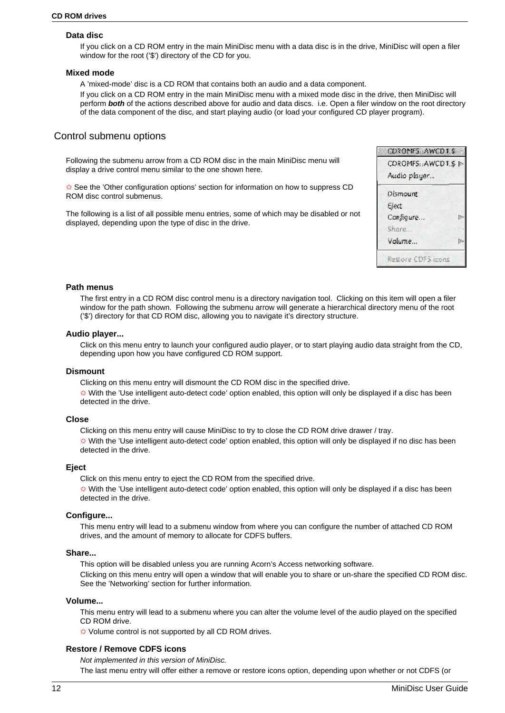#### **Data disc**

If you click on a CD ROM entry in the main MiniDisc menu with a data disc is in the drive, MiniDisc will open a filer window for the root ('\$') directory of the CD for you.

#### **Mixed mode**

A 'mixed-mode' disc is a CD ROM that contains both an audio and a data component.

If you click on a CD ROM entry in the main MiniDisc menu with a mixed mode disc in the drive, then MiniDisc will perform **both** of the actions described above for audio and data discs. i.e. Open a filer window on the root directory of the data component of the disc, and start playing audio (or load your configured CD player program).

## Control submenu options

Following the submenu arrow from a CD ROM disc in the main MiniDisc menu will display a drive control menu similar to the one shown here.

✩ See the 'Other configuration options' section for information on how to suppress CD ROM disc control submenus.

The following is a list of all possible menu entries, some of which may be disabled or not displayed, depending upon the type of disc in the drive.

| COROMES AWCD1.5    |  |
|--------------------|--|
| CDROMFS::AWCD1.5 P |  |
| Audio player       |  |
| <b>Dismount</b>    |  |
| Eject              |  |
| Configure          |  |
| Share              |  |
| Volume             |  |
| Restore CDFS icons |  |

#### **Path menus**

The first entry in a CD ROM disc control menu is a directory navigation tool. Clicking on this item will open a filer window for the path shown. Following the submenu arrow will generate a hierarchical directory menu of the root ('\$') directory for that CD ROM disc, allowing you to navigate it's directory structure.

#### **Audio player...**

Click on this menu entry to launch your configured audio player, or to start playing audio data straight from the CD, depending upon how you have configured CD ROM support.

#### **Dismount**

Clicking on this menu entry will dismount the CD ROM disc in the specified drive.

 $\star$  With the 'Use intelligent auto-detect code' option enabled, this option will only be displayed if a disc has been detected in the drive.

#### **Close**

Clicking on this menu entry will cause MiniDisc to try to close the CD ROM drive drawer / tray.

✩ With the 'Use intelligent auto-detect code' option enabled, this option will only be displayed if no disc has been detected in the drive.

#### **Eject**

Click on this menu entry to eject the CD ROM from the specified drive.

✩ With the 'Use intelligent auto-detect code' option enabled, this option will only be displayed if a disc has been detected in the drive.

#### **Configure...**

This menu entry will lead to a submenu window from where you can configure the number of attached CD ROM drives, and the amount of memory to allocate for CDFS buffers.

#### **Share...**

This option will be disabled unless you are running Acorn's Access networking software.

Clicking on this menu entry will open a window that will enable you to share or un-share the specified CD ROM disc. See the 'Networking' section for further information.

#### **Volume...**

This menu entry will lead to a submenu where you can alter the volume level of the audio played on the specified CD ROM drive.

✩ Volume control is not supported by all CD ROM drives.

#### **Restore / Remove CDFS icons**

Not implemented in this version of MiniDisc. The last menu entry will offer either a remove or restore icons option, depending upon whether or not CDFS (or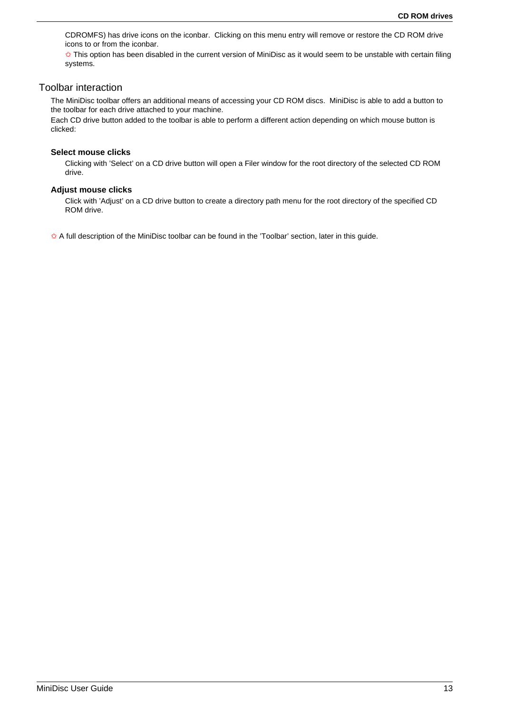CDROMFS) has drive icons on the iconbar. Clicking on this menu entry will remove or restore the CD ROM drive icons to or from the iconbar.

 $\star$  This option has been disabled in the current version of MiniDisc as it would seem to be unstable with certain filing systems.

## Toolbar interaction

The MiniDisc toolbar offers an additional means of accessing your CD ROM discs. MiniDisc is able to add a button to the toolbar for each drive attached to your machine.

Each CD drive button added to the toolbar is able to perform a different action depending on which mouse button is clicked:

#### **Select mouse clicks**

Clicking with 'Select' on a CD drive button will open a Filer window for the root directory of the selected CD ROM drive.

#### **Adjust mouse clicks**

Click with 'Adjust' on a CD drive button to create a directory path menu for the root directory of the specified CD ROM drive.

✩ A full description of the MiniDisc toolbar can be found in the 'Toolbar' section, later in this guide.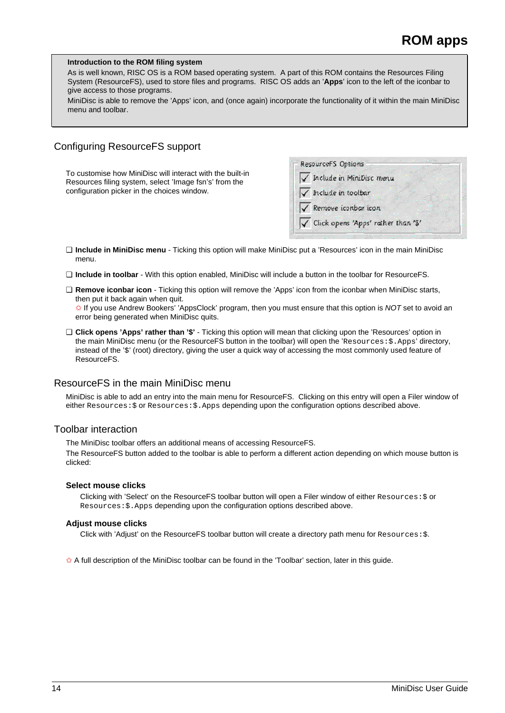## **ROM apps**

#### **Introduction to the ROM filing system**

As is well known, RISC OS is a ROM based operating system. A part of this ROM contains the Resources Filing System (ResourceFS), used to store files and programs. RISC OS adds an '**Apps**' icon to the left of the iconbar to give access to those programs.

MiniDisc is able to remove the 'Apps' icon, and (once again) incorporate the functionality of it within the main MiniDisc menu and toolbar.

## Configuring ResourceFS support

To customise how MiniDisc will interact with the built-in Resources filing system, select 'Image fsn's' from the configuration picker in the choices window.

| V Include in MiniDisc menu          |
|-------------------------------------|
| $\sqrt{}$ Include in toolbar        |
| $\sqrt{\ }$ Remove iconbar icon     |
| Click opens 'Apps' rather than '\$' |

Straight and the second contract

- ❏ **Include in MiniDisc menu** Ticking this option will make MiniDisc put a 'Resources' icon in the main MiniDisc menu.
- ❏ **Include in toolbar** With this option enabled, MiniDisc will include a button in the toolbar for ResourceFS.
- ❏ **Remove iconbar icon** Ticking this option will remove the 'Apps' icon from the iconbar when MiniDisc starts, then put it back again when quit.

 $\star$  If you use Andrew Bookers' 'AppsClock' program, then you must ensure that this option is NOT set to avoid an error being generated when MiniDisc quits.

❏ **Click opens 'Apps' rather than '\$'** - Ticking this option will mean that clicking upon the 'Resources' option in the main MiniDisc menu (or the ResourceFS button in the toolbar) will open the 'Resources:\$.Apps' directory, instead of the '\$' (root) directory, giving the user a quick way of accessing the most commonly used feature of ResourceFS.

## ResourceFS in the main MiniDisc menu

MiniDisc is able to add an entry into the main menu for ResourceFS. Clicking on this entry will open a Filer window of either Resources: \$ or Resources: \$. Apps depending upon the configuration options described above.

## Toolbar interaction

The MiniDisc toolbar offers an additional means of accessing ResourceFS.

The ResourceFS button added to the toolbar is able to perform a different action depending on which mouse button is clicked:

#### **Select mouse clicks**

Clicking with 'Select' on the ResourceFS toolbar button will open a Filer window of either Resources:\$ or Resources: \$. Apps depending upon the configuration options described above.

## **Adjust mouse clicks**

Click with 'Adjust' on the ResourceFS toolbar button will create a directory path menu for Resources: \$.

✩ A full description of the MiniDisc toolbar can be found in the 'Toolbar' section, later in this guide.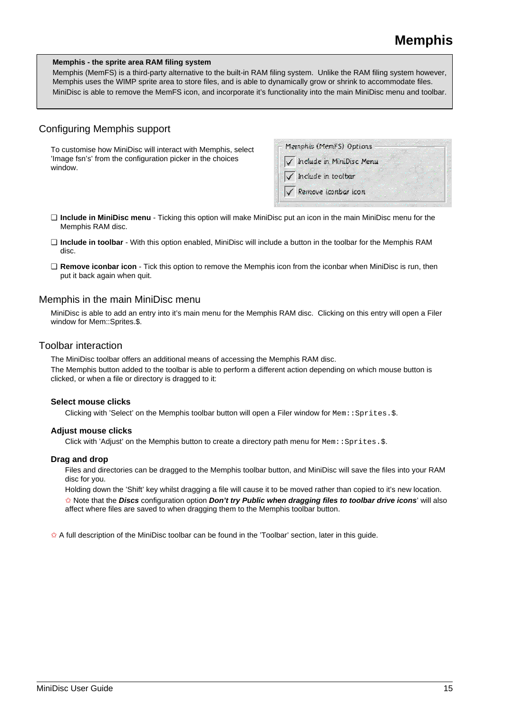## **Memphis**

#### **Memphis - the sprite area RAM filing system**

Memphis (MemFS) is a third-party alternative to the built-in RAM filing system. Unlike the RAM filing system however, Memphis uses the WIMP sprite area to store files, and is able to dynamically grow or shrink to accommodate files. MiniDisc is able to remove the MemFS icon, and incorporate it's functionality into the main MiniDisc menu and toolbar.

## Configuring Memphis support

To customise how MiniDisc will interact with Memphis, select 'Image fsn's' from the configuration picker in the choices window.

| Memphis (MemFS) Options        |
|--------------------------------|
| I Include in MiniDisc Menu     |
| $\sqrt{\ }$ Include in toolbar |
| V Remove iconbar icon          |

- ❏ **Include in MiniDisc menu** Ticking this option will make MiniDisc put an icon in the main MiniDisc menu for the Memphis RAM disc.
- ❏ **Include in toolbar** With this option enabled, MiniDisc will include a button in the toolbar for the Memphis RAM disc.
- ❏ **Remove iconbar icon** Tick this option to remove the Memphis icon from the iconbar when MiniDisc is run, then put it back again when quit.

#### Memphis in the main MiniDisc menu

MiniDisc is able to add an entry into it's main menu for the Memphis RAM disc. Clicking on this entry will open a Filer window for Mem::Sprites.\$.

## Toolbar interaction

The MiniDisc toolbar offers an additional means of accessing the Memphis RAM disc. The Memphis button added to the toolbar is able to perform a different action depending on which mouse button is clicked, or when a file or directory is dragged to it:

#### **Select mouse clicks**

Clicking with 'Select' on the Memphis toolbar button will open a Filer window for Mem: : Sprites. \$.

#### **Adjust mouse clicks**

Click with 'Adjust' on the Memphis button to create a directory path menu for Mem:: Sprites. \$.

#### **Drag and drop**

Files and directories can be dragged to the Memphis toolbar button, and MiniDisc will save the files into your RAM disc for you.

Holding down the 'Shift' key whilst dragging a file will cause it to be moved rather than copied to it's new location. ✩ Note that the **Discs** configuration option **Don't try Public when dragging files to toolbar drive icons**' will also affect where files are saved to when dragging them to the Memphis toolbar button.

 $\hat{\varphi}$  A full description of the MiniDisc toolbar can be found in the 'Toolbar' section, later in this guide.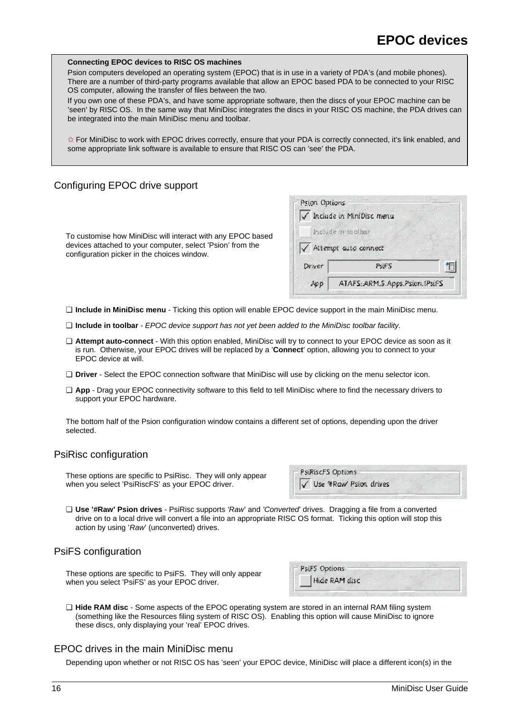## **EPOC devices**

#### **Connecting EPOC devices to RISC OS machines**

To customise how MiniDisc will interact with any EPOC based devices attached to your computer, select 'Psion' from the

Psion computers developed an operating system (EPOC) that is in use in a variety of PDA's (and mobile phones). There are a number of third-party programs available that allow an EPOC based PDA to be connected to your RISC OS computer, allowing the transfer of files between the two.

If you own one of these PDA's, and have some appropriate software, then the discs of your EPOC machine can be 'seen' by RISC OS. In the same way that MiniDisc integrates the discs in your RISC OS machine, the PDA drives can be integrated into the main MiniDisc menu and toolbar.

✩ For MiniDisc to work with EPOC drives correctly, ensure that your PDA is correctly connected, it's link enabled, and some appropriate link software is available to ensure that RISC OS can 'see' the PDA.

## Configuring EPOC drive support

configuration picker in the choices window.

|        | Include in MiniDisc menu |  |
|--------|--------------------------|--|
|        | Include in toolbar       |  |
|        |                          |  |
|        |                          |  |
|        | Attempt auto connect     |  |
| Driver | PSIFS                    |  |

❏ **Include in MiniDisc menu** - Ticking this option will enable EPOC device support in the main MiniDisc menu.

- ❏ **Include in toolbar** EPOC device support has not yet been added to the MiniDisc toolbar facility.
- ❏ **Attempt auto-connect** With this option enabled, MiniDisc will try to connect to your EPOC device as soon as it is run. Otherwise, your EPOC drives will be replaced by a '**Connect**' option, allowing you to connect to your EPOC device at will.
- ❏ **Driver** Select the EPOC connection software that MiniDisc will use by clicking on the menu selector icon.
- ❏ **App** Drag your EPOC connectivity software to this field to tell MiniDisc where to find the necessary drivers to support your EPOC hardware.

The bottom half of the Psion configuration window contains a different set of options, depending upon the driver selected.

## PsiRisc configuration

These options are specific to PsiRisc. They will only appear when you select 'PsiRiscFS' as your EPOC driver.



❏ **Use '#Raw' Psion drives** - PsiRisc supports 'Raw' and 'Converted' drives. Dragging a file from a converted drive on to a local drive will convert a file into an appropriate RISC OS format. Ticking this option will stop this action by using 'Raw' (unconverted) drives.

## PsiFS configuration

These options are specific to PsiFS. They will only appear when you select 'PsiFS' as your EPOC driver.

| PsiFS Options |  |  |
|---------------|--|--|
| Hide RAM disc |  |  |
|               |  |  |

❏ **Hide RAM disc** - Some aspects of the EPOC operating system are stored in an internal RAM filing system (something like the Resources filing system of RISC OS). Enabling this option will cause MiniDisc to ignore these discs, only displaying your 'real' EPOC drives.

## EPOC drives in the main MiniDisc menu

Depending upon whether or not RISC OS has 'seen' your EPOC device, MiniDisc will place a different icon(s) in the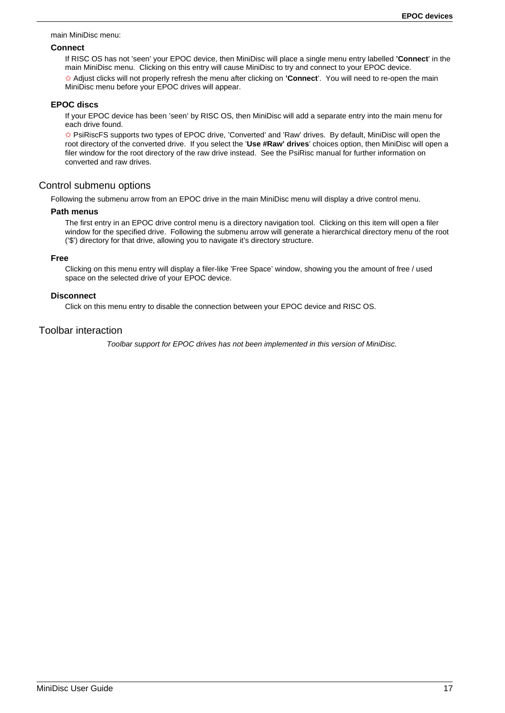main MiniDisc menu:

## **Connect**

If RISC OS has not 'seen' your EPOC device, then MiniDisc will place a single menu entry labelled **'Connect**' in the main MiniDisc menu. Clicking on this entry will cause MiniDisc to try and connect to your EPOC device.

✩ Adjust clicks will not properly refresh the menu after clicking on **'Connect**'. You will need to re-open the main MiniDisc menu before your EPOC drives will appear.

#### **EPOC discs**

If your EPOC device has been 'seen' by RISC OS, then MiniDisc will add a separate entry into the main menu for each drive found.

✩ PsiRiscFS supports two types of EPOC drive, 'Converted' and 'Raw' drives. By default, MiniDisc will open the root directory of the converted drive. If you select the '**Use #Raw' drives**' choices option, then MiniDisc will open a filer window for the root directory of the raw drive instead. See the PsiRisc manual for further information on converted and raw drives.

## Control submenu options

Following the submenu arrow from an EPOC drive in the main MiniDisc menu will display a drive control menu.

#### **Path menus**

The first entry in an EPOC drive control menu is a directory navigation tool. Clicking on this item will open a filer window for the specified drive. Following the submenu arrow will generate a hierarchical directory menu of the root ('\$') directory for that drive, allowing you to navigate it's directory structure.

#### **Free**

Clicking on this menu entry will display a filer-like 'Free Space' window, showing you the amount of free / used space on the selected drive of your EPOC device.

#### **Disconnect**

Click on this menu entry to disable the connection between your EPOC device and RISC OS.

## Toolbar interaction

Toolbar support for EPOC drives has not been implemented in this version of MiniDisc.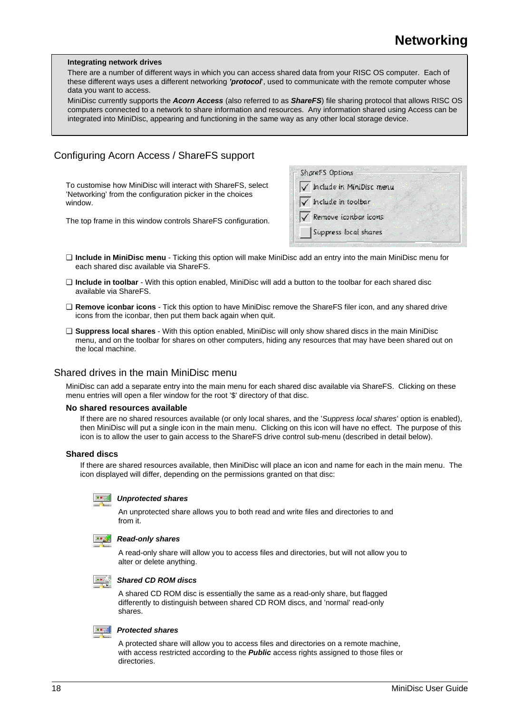#### **Integrating network drives**

There are a number of different ways in which you can access shared data from your RISC OS computer. Each of these different ways uses a different networking **'protocol**', used to communicate with the remote computer whose data you want to access.

MiniDisc currently supports the **Acorn Access** (also referred to as **ShareFS**) file sharing protocol that allows RISC OS computers connected to a network to share information and resources. Any information shared using Access can be integrated into MiniDisc, appearing and functioning in the same way as any other local storage device.

## Configuring Acorn Access / ShareFS support

To customise how MiniDisc will interact with ShareFS, select 'Networking' from the configuration picker in the choices window.

| I include in MiniDisc menu |
|----------------------------|
| V Include in toolbar       |
| Kemove iconbar icons       |
| Suppress local shares      |

The top frame in this window controls ShareFS configuration.

- ❏ **Include in MiniDisc menu** Ticking this option will make MiniDisc add an entry into the main MiniDisc menu for each shared disc available via ShareFS.
- ❏ **Include in toolbar** With this option enabled, MiniDisc will add a button to the toolbar for each shared disc available via ShareFS.
- ❏ **Remove iconbar icons** Tick this option to have MiniDisc remove the ShareFS filer icon, and any shared drive icons from the iconbar, then put them back again when quit.
- ❏ **Suppress local shares** With this option enabled, MiniDisc will only show shared discs in the main MiniDisc menu, and on the toolbar for shares on other computers, hiding any resources that may have been shared out on the local machine.

## Shared drives in the main MiniDisc menu

MiniDisc can add a separate entry into the main menu for each shared disc available via ShareFS. Clicking on these menu entries will open a filer window for the root '\$' directory of that disc.

#### **No shared resources available**

If there are no shared resources available (or only local shares, and the 'Suppress local shares' option is enabled), then MiniDisc will put a single icon in the main menu. Clicking on this icon will have no effect. The purpose of this icon is to allow the user to gain access to the ShareFS drive control sub-menu (described in detail below).

#### **Shared discs**

If there are shared resources available, then MiniDisc will place an icon and name for each in the main menu. The icon displayed will differ, depending on the permissions granted on that disc:



#### **Unprotected shares**

An unprotected share allows you to both read and write files and directories to and from it.

#### **Read-only shares**

A read-only share will allow you to access files and directories, but will not allow you to alter or delete anything.



#### **Shared CD ROM discs**

A shared CD ROM disc is essentially the same as a read-only share, but flagged differently to distinguish between shared CD ROM discs, and 'normal' read-only shares.



#### **Protected shares**

A protected share will allow you to access files and directories on a remote machine, with access restricted according to the **Public** access rights assigned to those files or directories.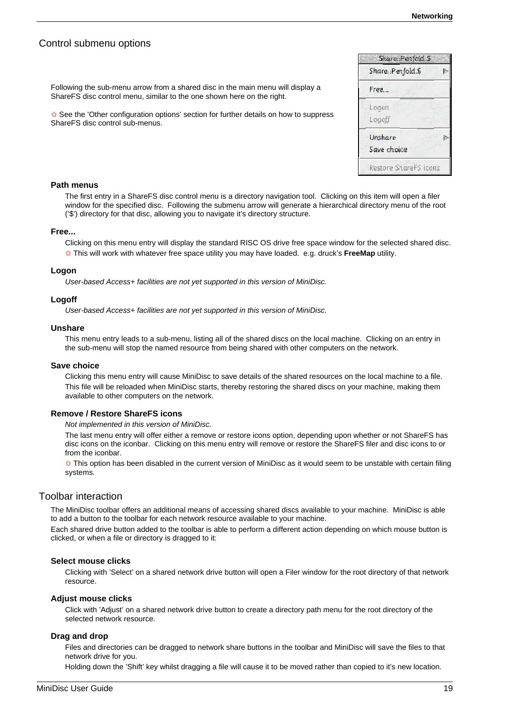## Control submenu options

Following the sub-menu arrow from a shared disc in the main menu will display a ShareFS disc control menu, similar to the one shown here on the right.

✩ See the 'Other configuration options' section for further details on how to suppress ShareFS disc control sub-menus.

| Share::Penfold.S      |  |
|-----------------------|--|
| Share::Penfold.\$     |  |
| Free                  |  |
| Logon                 |  |
| Logoff                |  |
| Unshare               |  |
| Save choice           |  |
| Restore ShareFS icons |  |

#### **Path menus**

The first entry in a ShareFS disc control menu is a directory navigation tool. Clicking on this item will open a filer window for the specified disc. Following the submenu arrow will generate a hierarchical directory menu of the root ('\$') directory for that disc, allowing you to navigate it's directory structure.

#### **Free...**

Clicking on this menu entry will display the standard RISC OS drive free space window for the selected shared disc. ✩ This will work with whatever free space utility you may have loaded. e.g. druck's **FreeMap** utility.

#### **Logon**

User-based Access+ facilities are not yet supported in this version of MiniDisc.

#### **Logoff**

User-based Access+ facilities are not yet supported in this version of MiniDisc.

#### **Unshare**

This menu entry leads to a sub-menu, listing all of the shared discs on the local machine. Clicking on an entry in the sub-menu will stop the named resource from being shared with other computers on the network.

#### **Save choice**

Clicking this menu entry will cause MiniDisc to save details of the shared resources on the local machine to a file. This file will be reloaded when MiniDisc starts, thereby restoring the shared discs on your machine, making them available to other computers on the network.

### **Remove / Restore ShareFS icons**

Not implemented in this version of MiniDisc.

The last menu entry will offer either a remove or restore icons option, depending upon whether or not ShareFS has disc icons on the iconbar. Clicking on this menu entry will remove or restore the ShareFS filer and disc icons to or from the iconbar.

 $\star$  This option has been disabled in the current version of MiniDisc as it would seem to be unstable with certain filing systems.

## Toolbar interaction

The MiniDisc toolbar offers an additional means of accessing shared discs available to your machine. MiniDisc is able to add a button to the toolbar for each network resource available to your machine.

Each shared drive button added to the toolbar is able to perform a different action depending on which mouse button is clicked, or when a file or directory is dragged to it:

### **Select mouse clicks**

Clicking with 'Select' on a shared network drive button will open a Filer window for the root directory of that network resource.

## **Adjust mouse clicks**

Click with 'Adjust' on a shared network drive button to create a directory path menu for the root directory of the selected network resource.

#### **Drag and drop**

Files and directories can be dragged to network share buttons in the toolbar and MiniDisc will save the files to that network drive for you.

Holding down the 'Shift' key whilst dragging a file will cause it to be moved rather than copied to it's new location.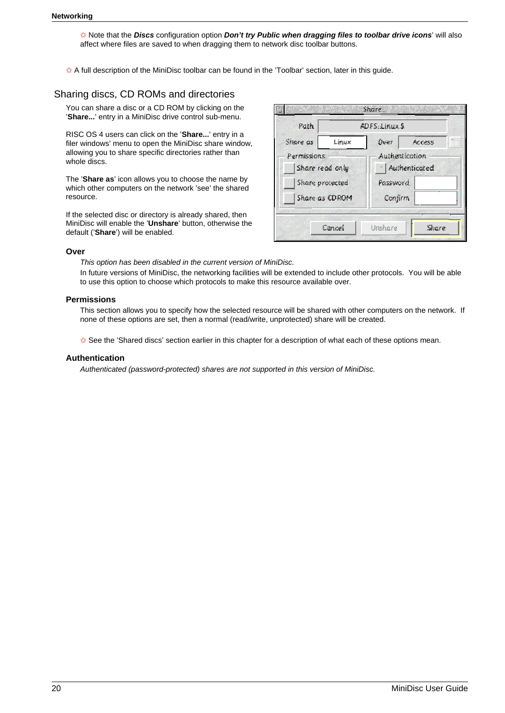✩ Note that the **Discs** configuration option **Don't try Public when dragging files to toolbar drive icons**' will also affect where files are saved to when dragging them to network disc toolbar buttons.

 $\hat{\varphi}$  A full description of the MiniDisc toolbar can be found in the 'Toolbar' section, later in this guide.

## Sharing discs, CD ROMs and directories

You can share a disc or a CD ROM by clicking on the '**Share...**' entry in a MiniDisc drive control sub-menu.

RISC OS 4 users can click on the '**Share...**' entry in a filer windows' menu to open the MiniDisc share window, allowing you to share specific directories rather than whole discs.

The '**Share as**' icon allows you to choose the name by which other computers on the network 'see' the shared resource.

If the selected disc or directory is already shared, then MiniDisc will enable the '**Unshare**' button, otherwise the default ('**Share**') will be enabled.



#### **Over**

This option has been disabled in the current version of MiniDisc.

In future versions of MiniDisc, the networking facilities will be extended to include other protocols. You will be able to use this option to choose which protocols to make this resource available over.

#### **Permissions**

This section allows you to specify how the selected resource will be shared with other computers on the network. If none of these options are set, then a normal (read/write, unprotected) share will be created.

 $\star$  See the 'Shared discs' section earlier in this chapter for a description of what each of these options mean.

#### **Authentication**

Authenticated (password-protected) shares are not supported in this version of MiniDisc.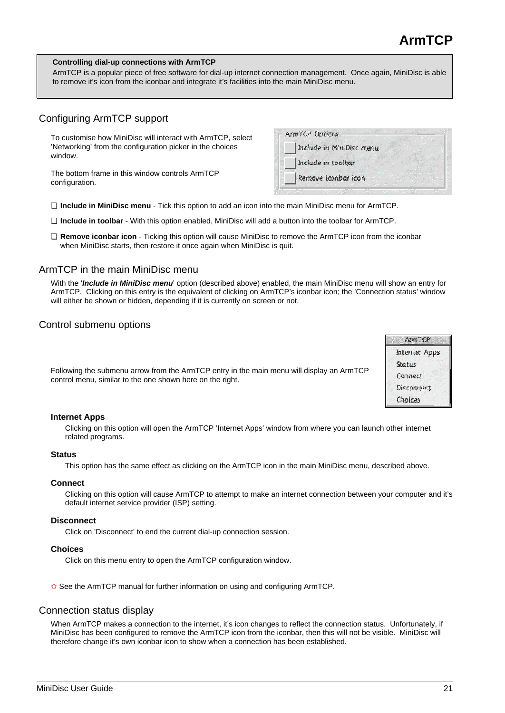## **ArmTCP**

#### **Controlling dial-up connections with ArmTCP**

ArmTCP is a popular piece of free software for dial-up internet connection management. Once again, MiniDisc is able to remove it's icon from the iconbar and integrate it's facilities into the main MiniDisc menu.

ArmTCP Ontions

Include in MiniDisc menu Include in toolbor Remove iconbar icon

## Configuring ArmTCP support

To customise how MiniDisc will interact with ArmTCP, select 'Networking' from the configuration picker in the choices window.

The bottom frame in this window controls ArmTCP configuration.

❏ **Include in MiniDisc menu** - Tick this option to add an icon into the main MiniDisc menu for ArmTCP.

❏ **Include in toolbar** - With this option enabled, MiniDisc will add a button into the toolbar for ArmTCP.

❏ **Remove iconbar icon** - Ticking this option will cause MiniDisc to remove the ArmTCP icon from the iconbar when MiniDisc starts, then restore it once again when MiniDisc is quit.

## ArmTCP in the main MiniDisc menu

With the '**Include in MiniDisc menu**' option (described above) enabled, the main MiniDisc menu will show an entry for ArmTCP. Clicking on this entry is the equivalent of clicking on ArmTCP's iconbar icon; the 'Connection status' window will either be shown or hidden, depending if it is currently on screen or not.

## Control submenu options

Following the submenu arrow from the ArmTCP entry in the main menu will display an ArmTCP control menu, similar to the one shown here on the right.

#### **Internet Apps**

Clicking on this option will open the ArmTCP 'Internet Apps' window from where you can launch other internet related programs.

#### **Status**

This option has the same effect as clicking on the ArmTCP icon in the main MiniDisc menu, described above.

#### **Connect**

Clicking on this option will cause ArmTCP to attempt to make an internet connection between your computer and it's default internet service provider (ISP) setting.

#### **Disconnect**

Click on 'Disconnect' to end the current dial-up connection session.

#### **Choices**

Click on this menu entry to open the ArmTCP configuration window.

✩ See the ArmTCP manual for further information on using and configuring ArmTCP.

#### Connection status display

When ArmTCP makes a connection to the internet, it's icon changes to reflect the connection status. Unfortunately, if MiniDisc has been configured to remove the ArmTCP icon from the iconbar, then this will not be visible. MiniDisc will therefore change it's own iconbar icon to show when a connection has been established.

| AtmTCP               |
|----------------------|
| <b>Internet Apps</b> |
| Status               |
| Connect              |
| Disconnect           |
| Choices              |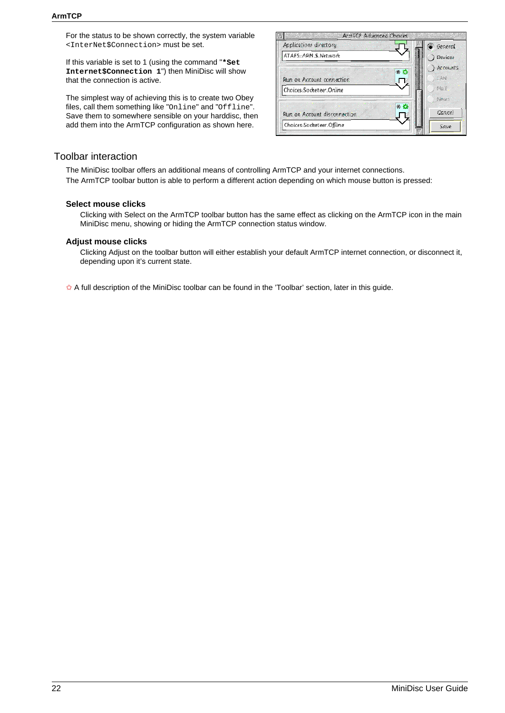#### **ArmTCP**

For the status to be shown correctly, the system variable <InterNet\$Connection> must be set.

If this variable is set to 1 (using the command "**\*Set Internet\$Connection 1**") then MiniDisc will show that the connection is active.

The simplest way of achieving this is to create two Obey files, call them something like "Online" and "Offline". Save them to somewhere sensible on your harddisc, then add them into the ArmTCP configuration as shown here.

| ArmTCP Advanced Chaires |                 |
|-------------------------|-----------------|
|                         | General         |
|                         | Devices         |
|                         | <b>Accounts</b> |
|                         | LAN             |
|                         | Mail            |
|                         | News            |
|                         | Cancel          |
|                         | Save            |
|                         | 带盘<br>美森        |

## Toolbar interaction

The MiniDisc toolbar offers an additional means of controlling ArmTCP and your internet connections. The ArmTCP toolbar button is able to perform a different action depending on which mouse button is pressed:

#### **Select mouse clicks**

Clicking with Select on the ArmTCP toolbar button has the same effect as clicking on the ArmTCP icon in the main MiniDisc menu, showing or hiding the ArmTCP connection status window.

### **Adjust mouse clicks**

Clicking Adjust on the toolbar button will either establish your default ArmTCP internet connection, or disconnect it, depending upon it's current state.

 $\hat{\varphi}$  A full description of the MiniDisc toolbar can be found in the 'Toolbar' section, later in this guide.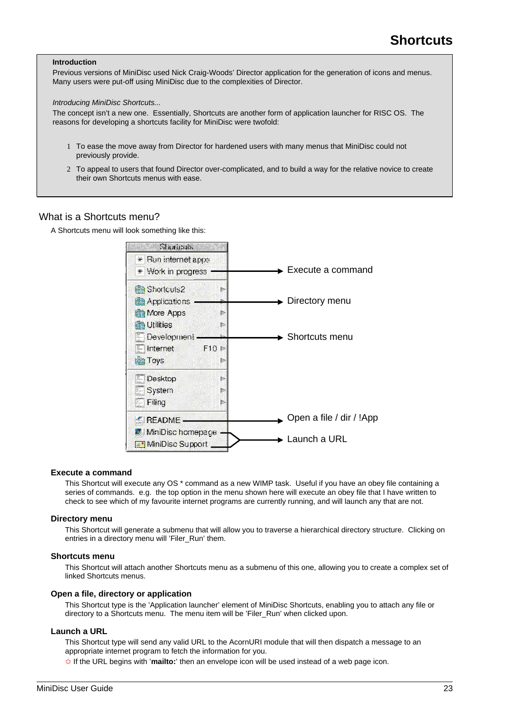#### **Introduction**

Previous versions of MiniDisc used Nick Craig-Woods' Director application for the generation of icons and menus. Many users were put-off using MiniDisc due to the complexities of Director.

#### Introducing MiniDisc Shortcuts...

The concept isn't a new one. Essentially, Shortcuts are another form of application launcher for RISC OS. The reasons for developing a shortcuts facility for MiniDisc were twofold:

- 1 To ease the move away from Director for hardened users with many menus that MiniDisc could not previously provide.
- 2 To appeal to users that found Director over-complicated, and to build a way for the relative novice to create their own Shortcuts menus with ease.

## What is a Shortcuts menu?

A Shortcuts menu will look something like this:



#### **Execute a command**

This Shortcut will execute any OS \* command as a new WIMP task. Useful if you have an obey file containing a series of commands. e.g. the top option in the menu shown here will execute an obey file that I have written to check to see which of my favourite internet programs are currently running, and will launch any that are not.

#### **Directory menu**

This Shortcut will generate a submenu that will allow you to traverse a hierarchical directory structure. Clicking on entries in a directory menu will 'Filer\_Run' them.

#### **Shortcuts menu**

This Shortcut will attach another Shortcuts menu as a submenu of this one, allowing you to create a complex set of linked Shortcuts menus.

#### **Open a file, directory or application**

This Shortcut type is the 'Application launcher' element of MiniDisc Shortcuts, enabling you to attach any file or directory to a Shortcuts menu. The menu item will be 'Filer\_Run' when clicked upon.

#### **Launch a URL**

This Shortcut type will send any valid URL to the AcornURI module that will then dispatch a message to an appropriate internet program to fetch the information for you.

✩ If the URL begins with '**mailto:**' then an envelope icon will be used instead of a web page icon.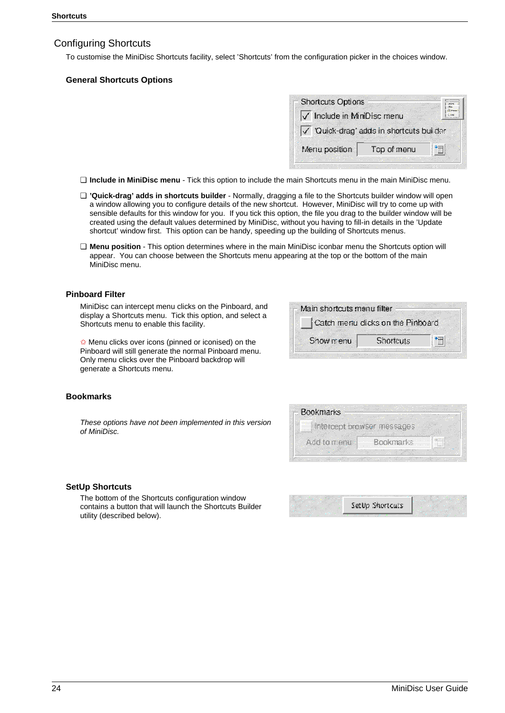## Configuring Shortcuts

To customise the MiniDisc Shortcuts facility, select 'Shortcuts' from the configuration picker in the choices window.

## **General Shortcuts Options**

| Shortcuts Options        |                                        |  |
|--------------------------|----------------------------------------|--|
| Include in MiniDisc menu |                                        |  |
|                          |                                        |  |
|                          | 'Quick-drag' adds in shortcuts builder |  |

- ❏ **Include in MiniDisc menu** Tick this option to include the main Shortcuts menu in the main MiniDisc menu.
- ❏ **'Quick-drag' adds in shortcuts builder** Normally, dragging a file to the Shortcuts builder window will open a window allowing you to configure details of the new shortcut. However, MiniDisc will try to come up with sensible defaults for this window for you. If you tick this option, the file you drag to the builder window will be created using the default values determined by MiniDisc, without you having to fill-in details in the 'Update shortcut' window first. This option can be handy, speeding up the building of Shortcuts menus.
- ❏ **Menu position** This option determines where in the main MiniDisc iconbar menu the Shortcuts option will appear. You can choose between the Shortcuts menu appearing at the top or the bottom of the main MiniDisc menu.

## **Pinboard Filter**

MiniDisc can intercept menu clicks on the Pinboard, and display a Shortcuts menu. Tick this option, and select a Shortcuts menu to enable this facility.

✩ Menu clicks over icons (pinned or iconised) on the Pinboard will still generate the normal Pinboard menu. Only menu clicks over the Pinboard backdrop will generate a Shortcuts menu.

| Main shortcuts menu filter |                                  |  |
|----------------------------|----------------------------------|--|
|                            | Catch menu dicks on the Pinboard |  |
| Show menu                  | Shortcuts                        |  |

#### **Bookmarks**

These options have not been implemented in this version of MiniDisc.



#### **SetUp Shortcuts**

The bottom of the Shortcuts configuration window contains a button that will launch the Shortcuts Builder utility (described below).

| SetUp Shortcuts |  |
|-----------------|--|
|                 |  |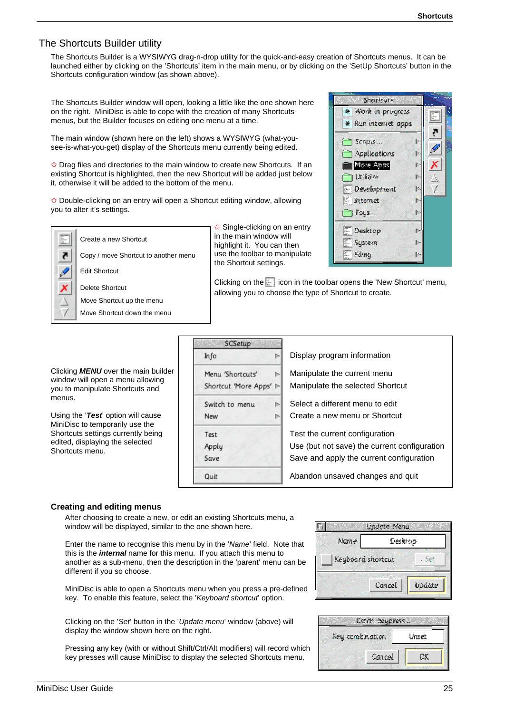ē

j.

Þ.

ß

j.

Shortcuts \* Work in progress \* Run internet apps

Scripts... Applications More Apps Utilities Development

Internet  $\bigcap$  Toys

Filing

E. Desktop Sustem

## The Shortcuts Builder utility

The Shortcuts Builder is a WYSIWYG drag-n-drop utility for the quick-and-easy creation of Shortcuts menus. It can be launched either by clicking on the 'Shortcuts' item in the main menu, or by clicking on the 'SetUp Shortcuts' button in the Shortcuts configuration window (as shown above).

The Shortcuts Builder window will open, looking a little like the one shown here on the right. MiniDisc is able to cope with the creation of many Shortcuts menus, but the Builder focuses on editing one menu at a time.

The main window (shown here on the left) shows a WYSIWYG (what-yousee-is-what-you-get) display of the Shortcuts menu currently being edited.

✩ Drag files and directories to the main window to create new Shortcuts. If an existing Shortcut is highlighted, then the new Shortcut will be added just below it, otherwise it will be added to the bottom of the menu.

✩ Double-clicking on an entry will open a Shortcut editing window, allowing you to alter it's settings.



Create a new Shortcut

Move Shortcut up the menu

Move Shortcut down the menu

Copy / move Shortcut to another menu

Edit Shortcut

Delete Shortcut

✩ Single-clicking on an entry in the main window will highlight it. You can then use the toolbar to manipulate the Shortcut settings.

Clicking on the icon in the toolbar opens the 'New Shortcut' menu, allowing you to choose the type of Shortcut to create.

Clicking **MENU** over the main builder window will open a menu allowing you to manipulate Shortcuts and menus.

Using the '**Test**' option will cause MiniDisc to temporarily use the Shortcuts settings currently being edited, displaying the selected Shortcuts menu.

| <b>SCSetup</b>        |                                              |
|-----------------------|----------------------------------------------|
| Info<br>Þ             | Display program information                  |
| Menu 'Shortcuts'<br>Þ | Manipulate the current menu                  |
| Shortcut 'More Apps'  | Manipulate the selected Shortcut             |
| Switch to menu<br>ь   | Select a different menu to edit              |
| <b>New</b><br>Þ       | Create a new menu or Shortcut                |
| Test                  | Test the current configuration               |
| Apply                 | Use (but not save) the current configuration |
| Save                  | Save and apply the current configuration     |
| <b>Quit</b>           | Abandon unsaved changes and quit             |

## **Creating and editing menus**

After choosing to create a new, or edit an existing Shortcuts menu, a window will be displayed, similar to the one shown here.

Enter the name to recognise this menu by in the 'Name' field. Note that this is the **internal** name for this menu. If you attach this menu to another as a sub-menu, then the description in the 'parent' menu can be different if you so choose.

MiniDisc is able to open a Shortcuts menu when you press a pre-defined key. To enable this feature, select the 'Keyboard shortcuf' option.

Clicking on the 'Set' button in the 'Update menu' window (above) will display the window shown here on the right.

Pressing any key (with or without Shift/Ctrl/Alt modifiers) will record which key presses will cause MiniDisc to display the selected Shortcuts menu.



| Key combination | Unset |
|-----------------|-------|
| Cancel          | rж    |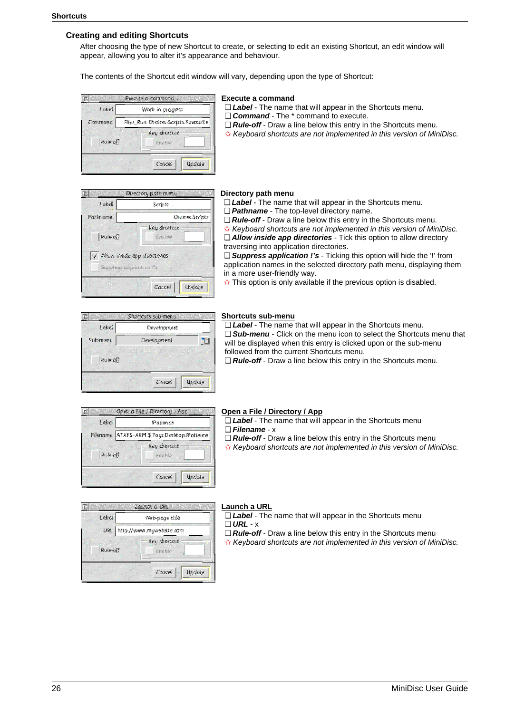#### **Creating and editing Shortcuts**

After choosing the type of new Shortcut to create, or selecting to edit an existing Shortcut, an edit window will appear, allowing you to alter it's appearance and behaviour.

The contents of the Shortcut edit window will vary, depending upon the type of Shortcut:



#### **Execute a command**

- ❏ **Label** The name that will appear in the Shortcuts menu.
- ❏ **Command** The \* command to execute.
- ❏ **Rule-off** Draw a line below this entry in the Shortcuts menu.
- ✩ Keyboard shortcuts are not implemented in this version of MiniDisc.



#### **Directory path menu**

- ❏ **Label** The name that will appear in the Shortcuts menu.
- ❏ **Pathname** The top-level directory name.
- ❏ **Rule-off** Draw a line below this entry in the Shortcuts menu.

✩ Keyboard shortcuts are not implemented in this version of MiniDisc. ❏ **Allow inside app directories** - Tick this option to allow directory traversing into application directories.

❏ **Suppress application !'s** - Ticking this option will hide the '!' from application names in the selected directory path menu, displaying them in a more user-friendly way.

 $\hat{\mathbf{x}}$  This option is only available if the previous option is disabled.

|          | Shortcuts sub-menu |        |
|----------|--------------------|--------|
| Label    | Development        |        |
| Sub-menu | Development        | Έ      |
| Rule-off |                    |        |
|          | Concel             | Undate |

#### **Shortcuts sub-menu**

❏ **Label** - The name that will appear in the Shortcuts menu.

❏ **Sub-menu** - Click on the menu icon to select the Shortcuts menu that will be displayed when this entry is clicked upon or the sub-menu followed from the current Shortcuts menu.

❏ **Rule-off** - Draw a line below this entry in the Shortcuts menu.



#### **Open a File / Directory / App**

- ❏ **Label** The name that will appear in the Shortcuts menu ❏ **Filename** - x
- ❏ **Rule-off** Draw a line below this entry in the Shortcuts menu
- ✩ Keyboard shortcuts are not implemented in this version of MiniDisc.



#### **Launch a URL**

- ❏ **Label** The name that will appear in the Shortcuts menu ❏ **URL** - x
- ❏ **Rule-off** Draw a line below this entry in the Shortcuts menu
- ✩ Keyboard shortcuts are not implemented in this version of MiniDisc.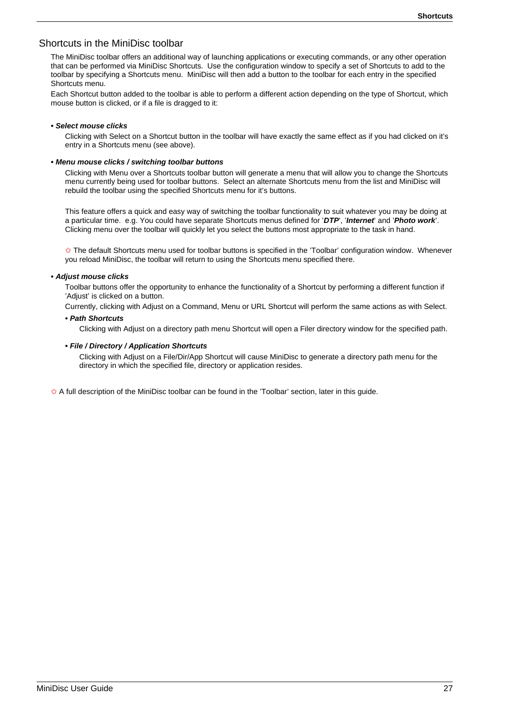## Shortcuts in the MiniDisc toolbar

The MiniDisc toolbar offers an additional way of launching applications or executing commands, or any other operation that can be performed via MiniDisc Shortcuts. Use the configuration window to specify a set of Shortcuts to add to the toolbar by specifying a Shortcuts menu. MiniDisc will then add a button to the toolbar for each entry in the specified Shortcuts menu.

Each Shortcut button added to the toolbar is able to perform a different action depending on the type of Shortcut, which mouse button is clicked, or if a file is dragged to it:

#### **• Select mouse clicks**

Clicking with Select on a Shortcut button in the toolbar will have exactly the same effect as if you had clicked on it's entry in a Shortcuts menu (see above).

#### **• Menu mouse clicks / switching toolbar buttons**

Clicking with Menu over a Shortcuts toolbar button will generate a menu that will allow you to change the Shortcuts menu currently being used for toolbar buttons. Select an alternate Shortcuts menu from the list and MiniDisc will rebuild the toolbar using the specified Shortcuts menu for it's buttons.

This feature offers a quick and easy way of switching the toolbar functionality to suit whatever you may be doing at a particular time. e.g. You could have separate Shortcuts menus defined for '**DTP**', '**Internet**' and '**Photo work**'. Clicking menu over the toolbar will quickly let you select the buttons most appropriate to the task in hand.

✩ The default Shortcuts menu used for toolbar buttons is specified in the 'Toolbar' configuration window. Whenever you reload MiniDisc, the toolbar will return to using the Shortcuts menu specified there.

#### **• Adjust mouse clicks**

Toolbar buttons offer the opportunity to enhance the functionality of a Shortcut by performing a different function if 'Adjust' is clicked on a button.

Currently, clicking with Adjust on a Command, Menu or URL Shortcut will perform the same actions as with Select.

#### **• Path Shortcuts**

Clicking with Adjust on a directory path menu Shortcut will open a Filer directory window for the specified path.

#### **• File / Directory / Application Shortcuts**

Clicking with Adjust on a File/Dir/App Shortcut will cause MiniDisc to generate a directory path menu for the directory in which the specified file, directory or application resides.

 $\star$  A full description of the MiniDisc toolbar can be found in the 'Toolbar' section, later in this guide.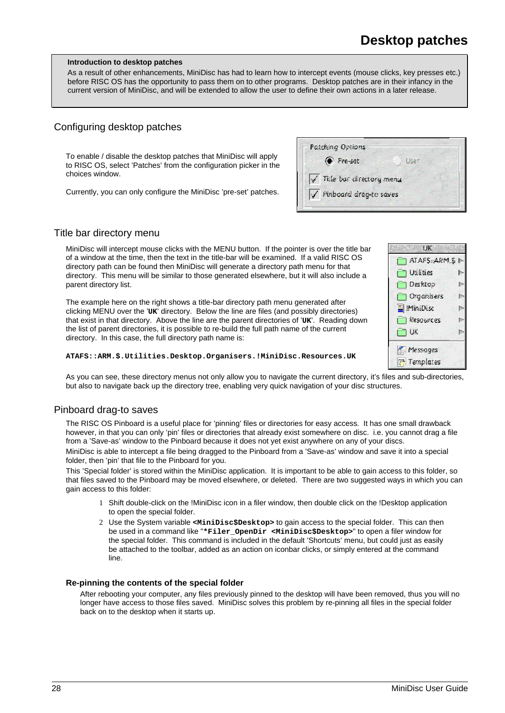## **Desktop patches**

## **Introduction to desktop patches**

As a result of other enhancements, MiniDisc has had to learn how to intercept events (mouse clicks, key presses etc.) before RISC OS has the opportunity to pass them on to other programs. Desktop patches are in their infancy in the current version of MiniDisc, and will be extended to allow the user to define their own actions in a later release.

## Configuring desktop patches

To enable / disable the desktop patches that MiniDisc will apply to RISC OS, select 'Patches' from the configuration picker in the choices window.

Currently, you can only configure the MiniDisc 'pre-set' patches.

| Patching Options           |       |
|----------------------------|-------|
| ← Pre-set                  | Hiser |
| V Title bar directory menu |       |
| V Pinboard drag-to saves   |       |

## Title bar directory menu

MiniDisc will intercept mouse clicks with the MENU button. If the pointer is over the title bar of a window at the time, then the text in the title-bar will be examined. If a valid RISC OS directory path can be found then MiniDisc will generate a directory path menu for that directory. This menu will be similar to those generated elsewhere, but it will also include a parent directory list.

The example here on the right shows a title-bar directory path menu generated after clicking MENU over the '**UK**' directory. Below the line are files (and possibly directories) that exist in that directory. Above the line are the parent directories of '**UK**'. Reading down the list of parent directories, it is possible to re-build the full path name of the current directory. In this case, the full directory path name is:

#### **ATAFS::ARM.\$.Utilities.Desktop.Organisers.!MiniDisc.Resources.UK**

As you can see, these directory menus not only allow you to navigate the current directory, it's files and sub-directories, but also to navigate back up the directory tree, enabling very quick navigation of your disc structures.

## Pinboard drag-to saves

The RISC OS Pinboard is a useful place for 'pinning' files or directories for easy access. It has one small drawback however, in that you can only 'pin' files or directories that already exist somewhere on disc. i.e. you cannot drag a file from a 'Save-as' window to the Pinboard because it does not yet exist anywhere on any of your discs.

MiniDisc is able to intercept a file being dragged to the Pinboard from a 'Save-as' window and save it into a special folder, then 'pin' that file to the Pinboard for you.

This 'Special folder' is stored within the MiniDisc application. It is important to be able to gain access to this folder, so that files saved to the Pinboard may be moved elsewhere, or deleted. There are two suggested ways in which you can gain access to this folder:

- 1 Shift double-click on the !MiniDisc icon in a filer window, then double click on the !Desktop application to open the special folder.
- 2 Use the System variable **<MiniDisc\$Desktop>** to gain access to the special folder. This can then be used in a command like "**\*Filer\_OpenDir <MiniDisc\$Desktop>**" to open a filer window for the special folder. This command is included in the default 'Shortcuts' menu, but could just as easily be attached to the toolbar, added as an action on iconbar clicks, or simply entered at the command line.

#### **Re-pinning the contents of the special folder**

After rebooting your computer, any files previously pinned to the desktop will have been removed, thus you will no longer have access to those files saved. MiniDisc solves this problem by re-pinning all files in the special folder back on to the desktop when it starts up.

| 97 H.             |     |
|-------------------|-----|
| ATAFS::ARM.5      |     |
| <b>Utilities</b>  | þ.  |
| <b>Desktop</b>    | 陀   |
| <b>Crganisers</b> | 'n. |
| = MiniDisc        | h.  |
| Resources         |     |
| $\Box$ UK         | h.  |
| Messages          |     |
| Templates         |     |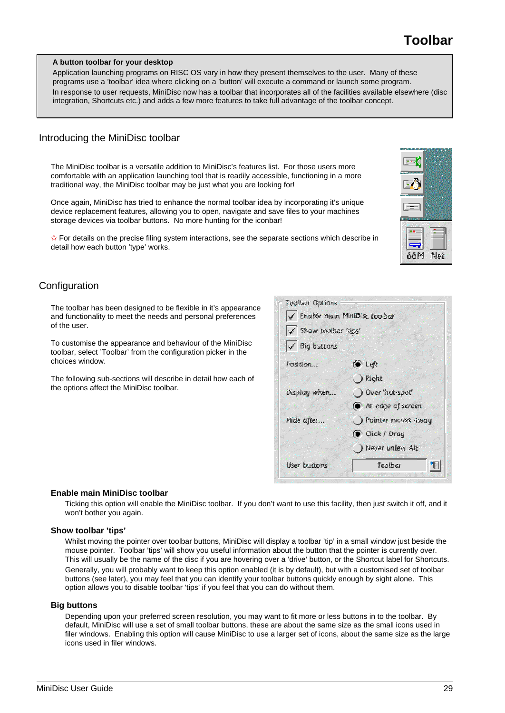**Toolbar**

## **A button toolbar for your desktop**

Application launching programs on RISC OS vary in how they present themselves to the user. Many of these programs use a 'toolbar' idea where clicking on a 'button' will execute a command or launch some program. In response to user requests, MiniDisc now has a toolbar that incorporates all of the facilities available elsewhere (disc integration, Shortcuts etc.) and adds a few more features to take full advantage of the toolbar concept.

## Introducing the MiniDisc toolbar

The MiniDisc toolbar is a versatile addition to MiniDisc's features list. For those users more comfortable with an application launching tool that is readily accessible, functioning in a more traditional way, the MiniDisc toolbar may be just what you are looking for!

Once again, MiniDisc has tried to enhance the normal toolbar idea by incorporating it's unique device replacement features, allowing you to open, navigate and save files to your machines storage devices via toolbar buttons. No more hunting for the iconbar!

 $\angle$  For details on the precise filing system interactions, see the separate sections which describe in detail how each button 'type' works.

## Configuration

The toolbar has been designed to be flexible in it's appearance and functionality to meet the needs and personal preferences of the user.

To customise the appearance and behaviour of the MiniDisc toolbar, select 'Toolbar' from the configuration picker in the choices window.

The following sub-sections will describe in detail how each of the options affect the MiniDisc toolbar.



#### **Enable main MiniDisc toolbar**

Ticking this option will enable the MiniDisc toolbar. If you don't want to use this facility, then just switch it off, and it won't bother you again.

#### **Show toolbar 'tips'**

Whilst moving the pointer over toolbar buttons, MiniDisc will display a toolbar 'tip' in a small window just beside the mouse pointer. Toolbar 'tips' will show you useful information about the button that the pointer is currently over. This will usually be the name of the disc if you are hovering over a 'drive' button, or the Shortcut label for Shortcuts. Generally, you will probably want to keep this option enabled (it is by default), but with a customised set of toolbar buttons (see later), you may feel that you can identify your toolbar buttons quickly enough by sight alone. This option allows you to disable toolbar 'tips' if you feel that you can do without them.

#### **Big buttons**

Depending upon your preferred screen resolution, you may want to fit more or less buttons in to the toolbar. By default, MiniDisc will use a set of small toolbar buttons, these are about the same size as the small icons used in filer windows. Enabling this option will cause MiniDisc to use a larger set of icons, about the same size as the large icons used in filer windows.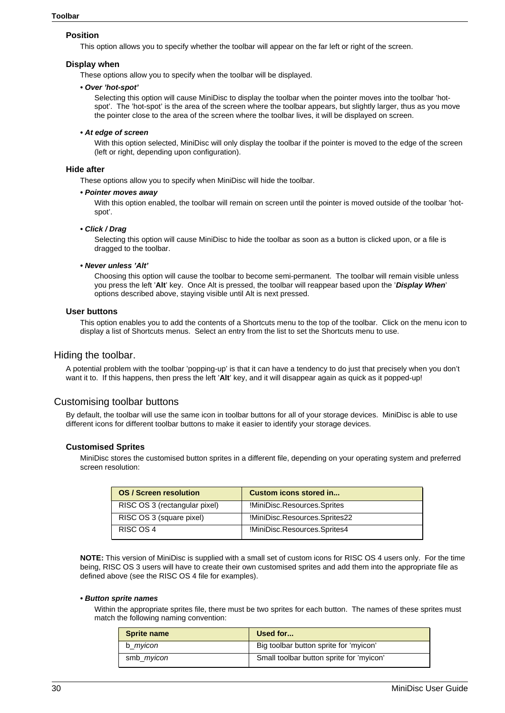#### **Position**

This option allows you to specify whether the toolbar will appear on the far left or right of the screen.

#### **Display when**

These options allow you to specify when the toolbar will be displayed.

#### **• Over 'hot-spot'**

Selecting this option will cause MiniDisc to display the toolbar when the pointer moves into the toolbar 'hotspot'. The 'hot-spot' is the area of the screen where the toolbar appears, but slightly larger, thus as you move the pointer close to the area of the screen where the toolbar lives, it will be displayed on screen.

#### **• At edge of screen**

With this option selected. MiniDisc will only display the toolbar if the pointer is moved to the edge of the screen (left or right, depending upon configuration).

#### **Hide after**

These options allow you to specify when MiniDisc will hide the toolbar.

#### **• Pointer moves away**

With this option enabled, the toolbar will remain on screen until the pointer is moved outside of the toolbar 'hotspot'.

#### **• Click / Drag**

Selecting this option will cause MiniDisc to hide the toolbar as soon as a button is clicked upon, or a file is dragged to the toolbar.

#### **• Never unless 'Alt'**

Choosing this option will cause the toolbar to become semi-permanent. The toolbar will remain visible unless you press the left '**Alt**' key. Once Alt is pressed, the toolbar will reappear based upon the '**Display When**' options described above, staying visible until Alt is next pressed.

#### **User buttons**

This option enables you to add the contents of a Shortcuts menu to the top of the toolbar. Click on the menu icon to display a list of Shortcuts menus. Select an entry from the list to set the Shortcuts menu to use.

#### Hiding the toolbar.

A potential problem with the toolbar 'popping-up' is that it can have a tendency to do just that precisely when you don't want it to. If this happens, then press the left '**Alt**' key, and it will disappear again as quick as it popped-up!

#### Customising toolbar buttons

By default, the toolbar will use the same icon in toolbar buttons for all of your storage devices. MiniDisc is able to use different icons for different toolbar buttons to make it easier to identify your storage devices.

#### **Customised Sprites**

MiniDisc stores the customised button sprites in a different file, depending on your operating system and preferred screen resolution:

| OS / Screen resolution        | Custom icons stored in        |
|-------------------------------|-------------------------------|
| RISC OS 3 (rectangular pixel) | !MiniDisc.Resources.Sprites   |
| RISC OS 3 (square pixel)      | !MiniDisc.Resources.Sprites22 |
| RISC OS 4                     | !MiniDisc.Resources.Sprites4  |

**NOTE:** This version of MiniDisc is supplied with a small set of custom icons for RISC OS 4 users only. For the time being, RISC OS 3 users will have to create their own customised sprites and add them into the appropriate file as defined above (see the RISC OS 4 file for examples).

#### **• Button sprite names**

Within the appropriate sprites file, there must be two sprites for each button. The names of these sprites must match the following naming convention:

| Sprite name     | Used for                                 |
|-----------------|------------------------------------------|
| b <i>myicon</i> | Big toolbar button sprite for 'myicon'   |
| smb_myicon      | Small toolbar button sprite for 'myicon' |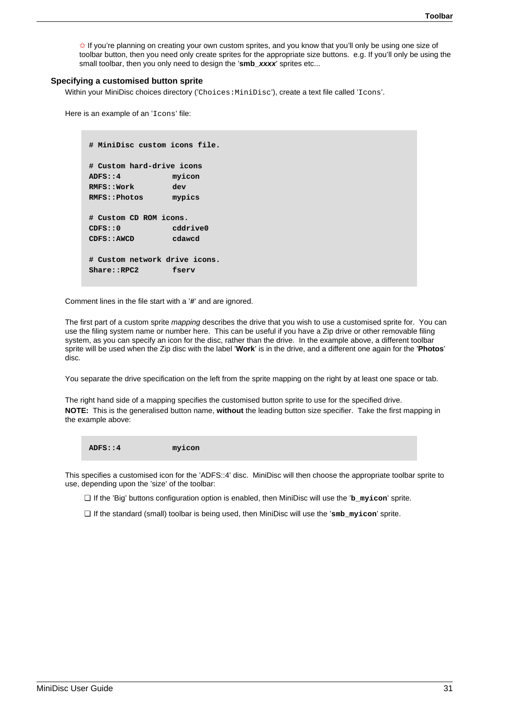$\hat{\phi}$  If you're planning on creating your own custom sprites, and you know that you'll only be using one size of toolbar button, then you need only create sprites for the appropriate size buttons. e.g. If you'll only be using the small toolbar, then you only need to design the '**smb\_xxxx**' sprites etc...

## **Specifying a customised button sprite**

Within your MiniDisc choices directory ('Choices:MiniDisc'), create a text file called 'Icons'.

Here is an example of an 'Icons' file:

```
# MiniDisc custom icons file.
# Custom hard-drive icons
ADFS::4 myicon
RMFS::Work dev
RMFS::Photos mypics
# Custom CD ROM icons.
CDFS::0 cddrive0
CDFS::AWCD cdawcd
# Custom network drive icons.
Share::RPC2 fserv
```
Comment lines in the file start with a '**#**' and are ignored.

The first part of a custom sprite mapping describes the drive that you wish to use a customised sprite for. You can use the filing system name or number here. This can be useful if you have a Zip drive or other removable filing system, as you can specify an icon for the disc, rather than the drive. In the example above, a different toolbar sprite will be used when the Zip disc with the label '**Work**' is in the drive, and a different one again for the '**Photos**' disc.

You separate the drive specification on the left from the sprite mapping on the right by at least one space or tab.

The right hand side of a mapping specifies the customised button sprite to use for the specified drive. **NOTE:** This is the generalised button name, **without** the leading button size specifier. Take the first mapping in the example above:

**ADFS::4 myicon**

This specifies a customised icon for the 'ADFS::4' disc. MiniDisc will then choose the appropriate toolbar sprite to use, depending upon the 'size' of the toolbar:

- ❏ If the 'Big' buttons configuration option is enabled, then MiniDisc will use the '**b\_myicon**' sprite.
- ❏ If the standard (small) toolbar is being used, then MiniDisc will use the '**smb\_myicon**' sprite.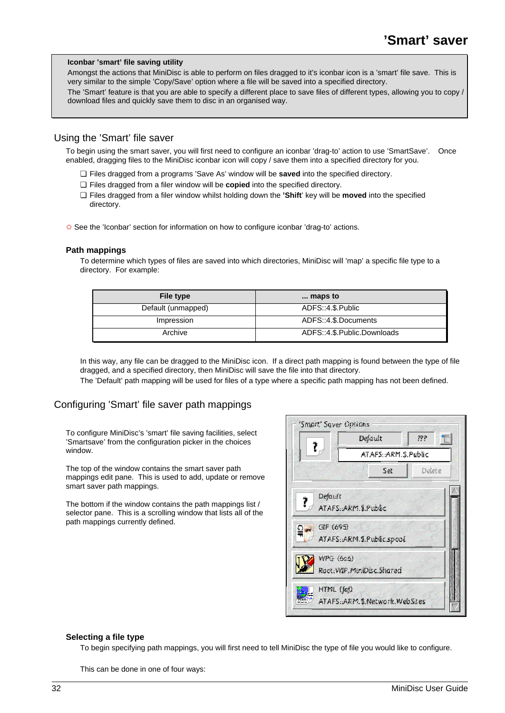#### **Iconbar 'smart' file saving utility**

Amongst the actions that MiniDisc is able to perform on files dragged to it's iconbar icon is a 'smart' file save. This is very similar to the simple 'Copy/Save' option where a file will be saved into a specified directory.

The 'Smart' feature is that you are able to specify a different place to save files of different types, allowing you to copy / download files and quickly save them to disc in an organised way.

## Using the 'Smart' file saver

To begin using the smart saver, you will first need to configure an iconbar 'drag-to' action to use 'SmartSave'. Once enabled, dragging files to the MiniDisc iconbar icon will copy / save them into a specified directory for you.

- ❏ Files dragged from a programs 'Save As' window will be **saved** into the specified directory.
- ❏ Files dragged from a filer window will be **copied** into the specified directory.
- ❏ Files dragged from a filer window whilst holding down the **'Shift**' key will be **moved** into the specified directory.

✩ See the 'Iconbar' section for information on how to configure iconbar 'drag-to' actions.

#### **Path mappings**

To determine which types of files are saved into which directories, MiniDisc will 'map' a specific file type to a directory. For example:

| File type          | maps to                     |
|--------------------|-----------------------------|
| Default (unmapped) | ADFS::4.\$.Public           |
| Impression         | ADFS::4.\$.Documents        |
| Archive            | ADFS::4.\$.Public.Downloads |

In this way, any file can be dragged to the MiniDisc icon. If a direct path mapping is found between the type of file dragged, and a specified directory, then MiniDisc will save the file into that directory.

The 'Default' path mapping will be used for files of a type where a specific path mapping has not been defined.

## Configuring 'Smart' file saver path mappings

To configure MiniDisc's 'smart' file saving facilities, select 'Smartsave' from the configuration picker in the choices window.

The top of the window contains the smart saver path mappings edit pane. This is used to add, update or remove smart saver path mappings.

The bottom if the window contains the path mappings list / selector pane. This is a scrolling window that lists all of the path mappings currently defined.

|               |                             |                      | Default                  | 79? | $\overline{\mathbb{E}}$ |
|---------------|-----------------------------|----------------------|--------------------------|-----|-------------------------|
|               |                             |                      | ATAFS::ARM.S.Public      |     |                         |
|               |                             |                      | Set                      |     | Delete                  |
| $\frac{1}{2}$ | <b>Default</b><br>GIF (695) | ATAFS: ARM. S.Public |                          |     |                         |
|               | <b>WFG</b> (6a6)            |                      | ATAFS: ARM S.Publicspool |     |                         |
|               |                             |                      | Root-WIP MiniDisc Shared |     |                         |
|               |                             |                      |                          |     |                         |

#### **Selecting a file type**

To begin specifying path mappings, you will first need to tell MiniDisc the type of file you would like to configure.

This can be done in one of four ways: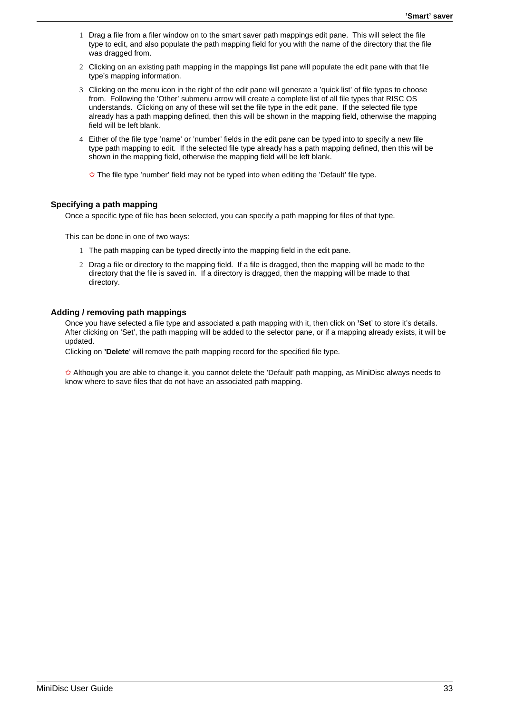- 1 Drag a file from a filer window on to the smart saver path mappings edit pane. This will select the file type to edit, and also populate the path mapping field for you with the name of the directory that the file was dragged from.
- 2 Clicking on an existing path mapping in the mappings list pane will populate the edit pane with that file type's mapping information.
- 3 Clicking on the menu icon in the right of the edit pane will generate a 'quick list' of file types to choose from. Following the 'Other' submenu arrow will create a complete list of all file types that RISC OS understands. Clicking on any of these will set the file type in the edit pane. If the selected file type already has a path mapping defined, then this will be shown in the mapping field, otherwise the mapping field will be left blank.
- 4 Either of the file type 'name' or 'number' fields in the edit pane can be typed into to specify a new file type path mapping to edit. If the selected file type already has a path mapping defined, then this will be shown in the mapping field, otherwise the mapping field will be left blank.
	- ✩ The file type 'number' field may not be typed into when editing the 'Default' file type.

#### **Specifying a path mapping**

Once a specific type of file has been selected, you can specify a path mapping for files of that type.

This can be done in one of two ways:

- 1 The path mapping can be typed directly into the mapping field in the edit pane.
- 2 Drag a file or directory to the mapping field. If a file is dragged, then the mapping will be made to the directory that the file is saved in. If a directory is dragged, then the mapping will be made to that directory.

#### **Adding / removing path mappings**

Once you have selected a file type and associated a path mapping with it, then click on **'Set**' to store it's details. After clicking on 'Set', the path mapping will be added to the selector pane, or if a mapping already exists, it will be updated.

Clicking on **'Delete**' will remove the path mapping record for the specified file type.

✩ Although you are able to change it, you cannot delete the 'Default' path mapping, as MiniDisc always needs to know where to save files that do not have an associated path mapping.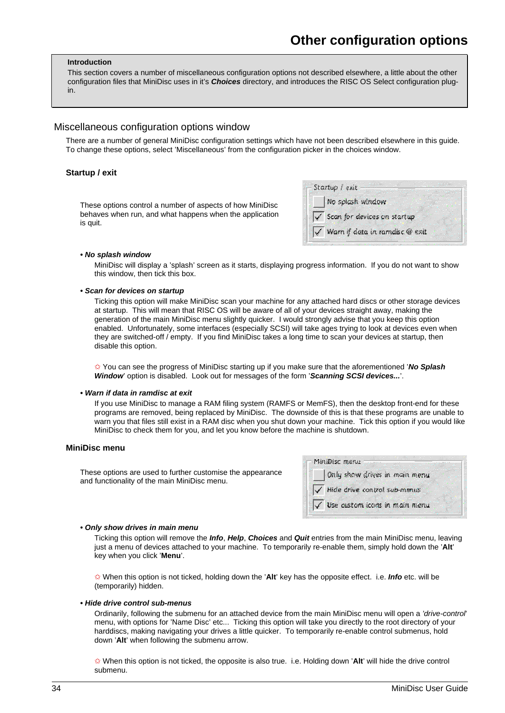## **Other configuration options**

#### **Introduction**

This section covers a number of miscellaneous configuration options not described elsewhere, a little about the other configuration files that MiniDisc uses in it's **Choices** directory, and introduces the RISC OS Select configuration plugin.

## Miscellaneous configuration options window

There are a number of general MiniDisc configuration settings which have not been described elsewhere in this guide. To change these options, select 'Miscellaneous' from the configuration picker in the choices window.

#### **Startup / exit**

These options control a number of aspects of how MiniDisc behaves when run, and what happens when the application is quit.

| Startup / exit               |
|------------------------------|
| No splash window             |
| Scan for devices on startup  |
| Warn if data in ramdisc@exit |

#### **• No splash window**

MiniDisc will display a 'splash' screen as it starts, displaying progress information. If you do not want to show this window, then tick this box.

#### **• Scan for devices on startup**

Ticking this option will make MiniDisc scan your machine for any attached hard discs or other storage devices at startup. This will mean that RISC OS will be aware of all of your devices straight away, making the generation of the main MiniDisc menu slightly quicker. I would strongly advise that you keep this option enabled. Unfortunately, some interfaces (especially SCSI) will take ages trying to look at devices even when they are switched-off / empty. If you find MiniDisc takes a long time to scan your devices at startup, then disable this option.

✩ You can see the progress of MiniDisc starting up if you make sure that the aforementioned '**No Splash Window**' option is disabled. Look out for messages of the form '**Scanning SCSI devices...**'.

#### **• Warn if data in ramdisc at exit**

If you use MiniDisc to manage a RAM filing system (RAMFS or MemFS), then the desktop front-end for these programs are removed, being replaced by MiniDisc. The downside of this is that these programs are unable to warn you that files still exist in a RAM disc when you shut down your machine. Tick this option if you would like MiniDisc to check them for you, and let you know before the machine is shutdown.

#### **MiniDisc menu**

These options are used to further customise the appearance and functionality of the main MiniDisc menu.

| MiniDisc menu                 |
|-------------------------------|
| Only show drives in main menu |
| Hide drive control sub-menus  |
| Use castom icons in main menu |

#### **• Only show drives in main menu**

Ticking this option will remove the **Info**, **Help**, **Choices** and **Quit** entries from the main MiniDisc menu, leaving just a menu of devices attached to your machine. To temporarily re-enable them, simply hold down the '**Alt**' key when you click '**Menu**'.

✩ When this option is not ticked, holding down the '**Alt**' key has the opposite effect. i.e. **Info** etc. will be (temporarily) hidden.

#### **• Hide drive control sub-menus**

Ordinarily, following the submenu for an attached device from the main MiniDisc menu will open a 'drive-control' menu, with options for 'Name Disc' etc... Ticking this option will take you directly to the root directory of your harddiscs, making navigating your drives a little quicker. To temporarily re-enable control submenus, hold down '**Alt**' when following the submenu arrow.

✩ When this option is not ticked, the opposite is also true. i.e. Holding down '**Alt**' will hide the drive control submenu.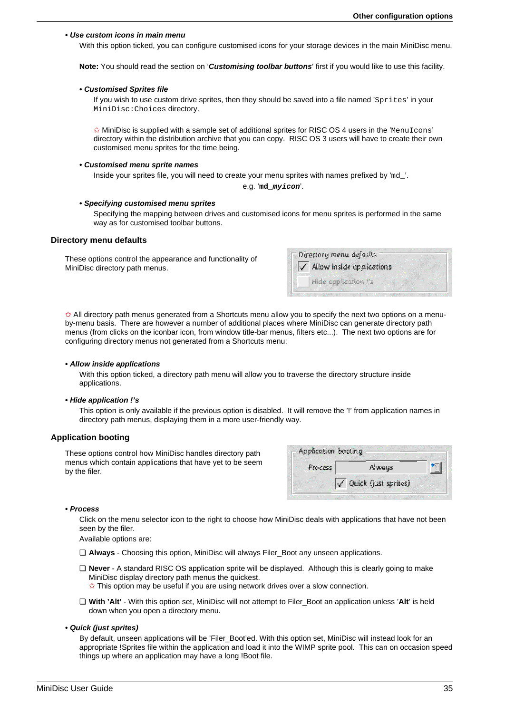#### **• Use custom icons in main menu**

With this option ticked, you can configure customised icons for your storage devices in the main MiniDisc menu.

**Note:** You should read the section on '**Customising toolbar buttons**' first if you would like to use this facility.

#### **• Customised Sprites file**

If you wish to use custom drive sprites, then they should be saved into a file named 'Sprites' in your MiniDisc:Choices directory.

 $\star$  MiniDisc is supplied with a sample set of additional sprites for RISC OS 4 users in the 'MenuIcons' directory within the distribution archive that you can copy. RISC OS 3 users will have to create their own customised menu sprites for the time being.

#### **• Customised menu sprite names**

Inside your sprites file, you will need to create your menu sprites with names prefixed by 'md\_'.

e.g. '**md\_myicon**'.

#### **• Specifying customised menu sprites**

Specifying the mapping between drives and customised icons for menu sprites is performed in the same way as for customised toolbar buttons.

#### **Directory menu defaults**

These options control the appearance and functionality of MiniDisc directory path menus.

| $\sqrt{\phantom{a}}$ Allow inside applications |
|------------------------------------------------|
| Hide application !'s                           |

 $\star$  All directory path menus generated from a Shortcuts menu allow you to specify the next two options on a menuby-menu basis. There are however a number of additional places where MiniDisc can generate directory path menus (from clicks on the iconbar icon, from window title-bar menus, filters etc...). The next two options are for configuring directory menus not generated from a Shortcuts menu:

#### **• Allow inside applications**

With this option ticked, a directory path menu will allow you to traverse the directory structure inside applications.

#### **• Hide application !'s**

This option is only available if the previous option is disabled. It will remove the '!' from application names in directory path menus, displaying them in a more user-friendly way.

#### **Application booting**

These options control how MiniDisc handles directory path menus which contain applications that have yet to be seem by the filer.

| Application booting |                      |  |
|---------------------|----------------------|--|
| Process             | Always               |  |
|                     | Quick (just sprites) |  |

#### **• Process**

Click on the menu selector icon to the right to choose how MiniDisc deals with applications that have not been seen by the filer.

Available options are:

❏ **Always** - Choosing this option, MiniDisc will always Filer\_Boot any unseen applications.

- ❏ **Never** A standard RISC OS application sprite will be displayed. Although this is clearly going to make MiniDisc display directory path menus the quickest.
	- ✩ This option may be useful if you are using network drives over a slow connection.
- ❏ **With 'Alt'** With this option set, MiniDisc will not attempt to Filer\_Boot an application unless '**Alt**' is held down when you open a directory menu.

#### **• Quick (just sprites)**

By default, unseen applications will be 'Filer\_Boot'ed. With this option set, MiniDisc will instead look for an appropriate !Sprites file within the application and load it into the WIMP sprite pool. This can on occasion speed things up where an application may have a long !Boot file.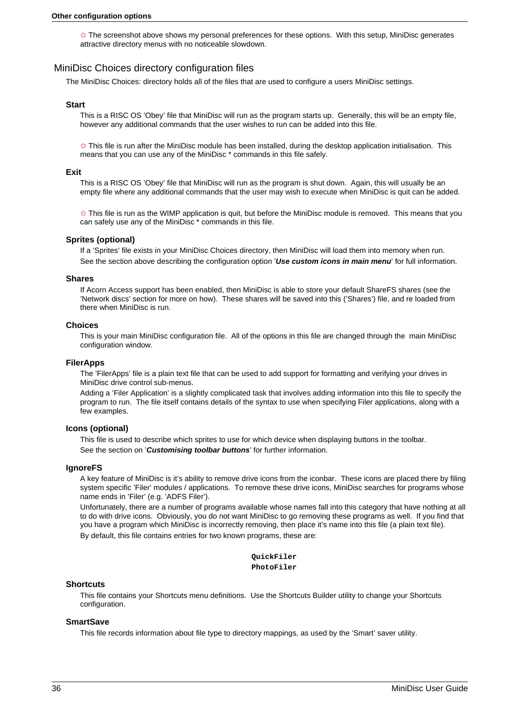$\star$  The screenshot above shows my personal preferences for these options. With this setup, MiniDisc generates attractive directory menus with no noticeable slowdown.

## MiniDisc Choices directory configuration files

The MiniDisc Choices: directory holds all of the files that are used to configure a users MiniDisc settings.

#### **Start**

This is a RISC OS 'Obey' file that MiniDisc will run as the program starts up. Generally, this will be an empty file, however any additional commands that the user wishes to run can be added into this file.

 $\star$  This file is run after the MiniDisc module has been installed, during the desktop application initialisation. This means that you can use any of the MiniDisc \* commands in this file safely.

#### **Exit**

This is a RISC OS 'Obey' file that MiniDisc will run as the program is shut down. Again, this will usually be an empty file where any additional commands that the user may wish to execute when MiniDisc is quit can be added.

 $\dot{\varphi}$  This file is run as the WIMP application is quit, but before the MiniDisc module is removed. This means that you can safely use any of the MiniDisc \* commands in this file.

#### **Sprites (optional)**

If a 'Sprites' file exists in your MiniDisc Choices directory, then MiniDisc will load them into memory when run. See the section above describing the configuration option '**Use custom icons in main menu**' for full information.

#### **Shares**

If Acorn Access support has been enabled, then MiniDisc is able to store your default ShareFS shares (see the 'Network discs' section for more on how). These shares will be saved into this ('Shares') file, and re loaded from there when MiniDisc is run.

#### **Choices**

This is your main MiniDisc configuration file. All of the options in this file are changed through the main MiniDisc configuration window.

#### **FilerApps**

The 'FilerApps' file is a plain text file that can be used to add support for formatting and verifying your drives in MiniDisc drive control sub-menus.

Adding a 'Filer Application' is a slightly complicated task that involves adding information into this file to specify the program to run. The file itself contains details of the syntax to use when specifying Filer applications, along with a few examples.

#### **Icons (optional)**

This file is used to describe which sprites to use for which device when displaying buttons in the toolbar. See the section on '**Customising toolbar buttons**' for further information.

#### **IgnoreFS**

A key feature of MiniDisc is it's ability to remove drive icons from the iconbar. These icons are placed there by filing system specific 'Filer' modules / applications. To remove these drive icons, MiniDisc searches for programs whose name ends in 'Filer' (e.g. 'ADFS Filer').

Unfortunately, there are a number of programs available whose names fall into this category that have nothing at all to do with drive icons. Obviously, you do not want MiniDisc to go removing these programs as well. If you find that you have a program which MiniDisc is incorrectly removing, then place it's name into this file (a plain text file).

By default, this file contains entries for two known programs, these are:

#### **QuickFiler PhotoFiler**

#### **Shortcuts**

This file contains your Shortcuts menu definitions. Use the Shortcuts Builder utility to change your Shortcuts configuration.

#### **SmartSave**

This file records information about file type to directory mappings, as used by the 'Smart' saver utility.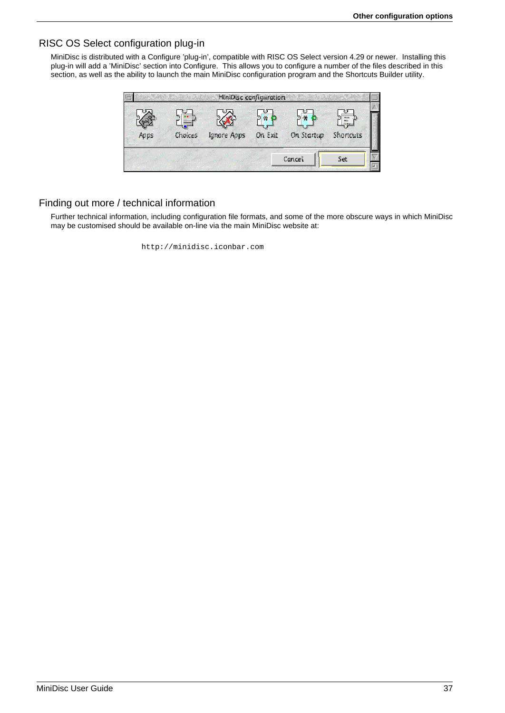## RISC OS Select configuration plug-in

MiniDisc is distributed with a Configure 'plug-in', compatible with RISC OS Select version 4.29 or newer. Installing this plug-in will add a 'MiniDisc' section into Configure. This allows you to configure a number of the files described in this section, as well as the ability to launch the main MiniDisc configuration program and the Shortcuts Builder utility.

|      |                       | MiniDisc configuration |         |            |                  |
|------|-----------------------|------------------------|---------|------------|------------------|
| Apps | <b>TEL</b><br>Choices | Ignore Apps            | On Exit | On Startup | <b>Shortcuts</b> |
|      |                       |                        |         | Cancel     | Set              |

## Finding out more / technical information

Further technical information, including configuration file formats, and some of the more obscure ways in which MiniDisc may be customised should be available on-line via the main MiniDisc website at:

http://minidisc.iconbar.com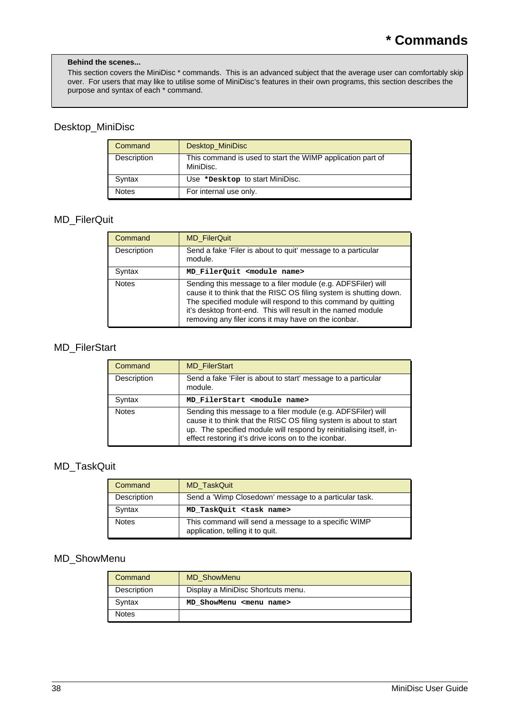## **\* Commands**

### **Behind the scenes...**

This section covers the MiniDisc \* commands. This is an advanced subject that the average user can comfortably skip over. For users that may like to utilise some of MiniDisc's features in their own programs, this section describes the purpose and syntax of each \* command.

## Desktop\_MiniDisc

| Command      | <b>Desktop MiniDisc</b>                                                 |
|--------------|-------------------------------------------------------------------------|
| Description  | This command is used to start the WIMP application part of<br>MiniDisc. |
| Syntax       | Use *Desktop to start MiniDisc.                                         |
| <b>Notes</b> | For internal use only.                                                  |

## MD\_FilerQuit

| Command      | <b>MD</b> FilerQuit                                                                                                                                                                                                                                                                                                         |
|--------------|-----------------------------------------------------------------------------------------------------------------------------------------------------------------------------------------------------------------------------------------------------------------------------------------------------------------------------|
| Description  | Send a fake 'Filer is about to quit' message to a particular<br>module.                                                                                                                                                                                                                                                     |
| Syntax       | MD FilerQuit <module name=""></module>                                                                                                                                                                                                                                                                                      |
| <b>Notes</b> | Sending this message to a filer module (e.g. ADFSFiler) will<br>cause it to think that the RISC OS filing system is shutting down.<br>The specified module will respond to this command by quitting<br>it's desktop front-end. This will result in the named module<br>removing any filer icons it may have on the iconbar. |

## MD\_FilerStart

| Command      | <b>MD</b> FilerStart                                                                                                                                                                                                                                              |
|--------------|-------------------------------------------------------------------------------------------------------------------------------------------------------------------------------------------------------------------------------------------------------------------|
| Description  | Send a fake 'Filer is about to start' message to a particular<br>module.                                                                                                                                                                                          |
| Syntax       | MD FilerStart <module name=""></module>                                                                                                                                                                                                                           |
| <b>Notes</b> | Sending this message to a filer module (e.g. ADFSFiler) will<br>cause it to think that the RISC OS filing system is about to start<br>up. The specified module will respond by reinitialising itself, in-<br>effect restoring it's drive icons on to the iconbar. |

## MD\_TaskQuit

| Command      | <b>MD</b> TaskQuit                                                                      |
|--------------|-----------------------------------------------------------------------------------------|
| Description  | Send a 'Wimp Closedown' message to a particular task.                                   |
| Syntax       | MD TaskQuit <task name=""></task>                                                       |
| <b>Notes</b> | This command will send a message to a specific WIMP<br>application, telling it to quit. |

## MD\_ShowMenu

| Command      | <b>MD ShowMenu</b>                 |
|--------------|------------------------------------|
| Description  | Display a MiniDisc Shortcuts menu. |
| Syntax       | MD ShowMenu <menu name=""></menu>  |
| <b>Notes</b> |                                    |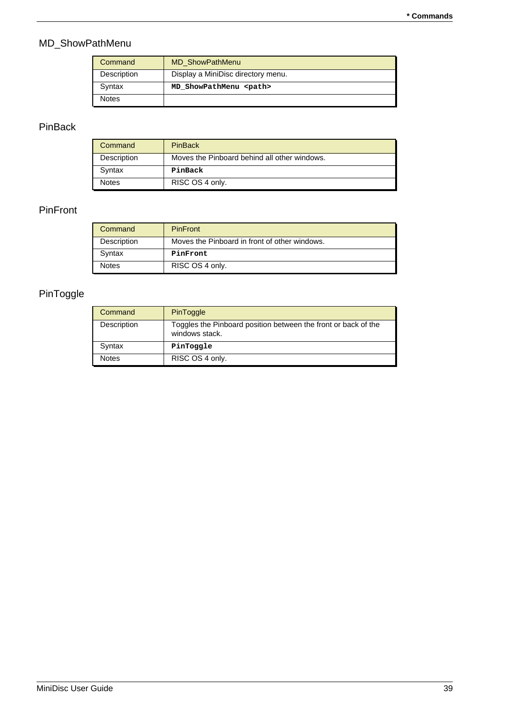## MD\_ShowPathMenu

| Command      | <b>MD ShowPathMenu</b>             |
|--------------|------------------------------------|
| Description  | Display a MiniDisc directory menu. |
| Syntax       | MD ShowPathMenu <path></path>      |
| <b>Notes</b> |                                    |

## PinBack

| Command      | <b>PinBack</b>                               |
|--------------|----------------------------------------------|
| Description  | Moves the Pinboard behind all other windows. |
| Syntax       | PinBack                                      |
| <b>Notes</b> | RISC OS 4 only.                              |

## PinFront

| Command      | PinFront                                      |
|--------------|-----------------------------------------------|
| Description  | Moves the Pinboard in front of other windows. |
| Syntax       | PinFront                                      |
| <b>Notes</b> | RISC OS 4 only.                               |

## PinToggle

| Command      | PinToggle                                                                        |
|--------------|----------------------------------------------------------------------------------|
| Description  | Toggles the Pinboard position between the front or back of the<br>windows stack. |
| Syntax       | PinToggle                                                                        |
| <b>Notes</b> | RISC OS 4 only.                                                                  |